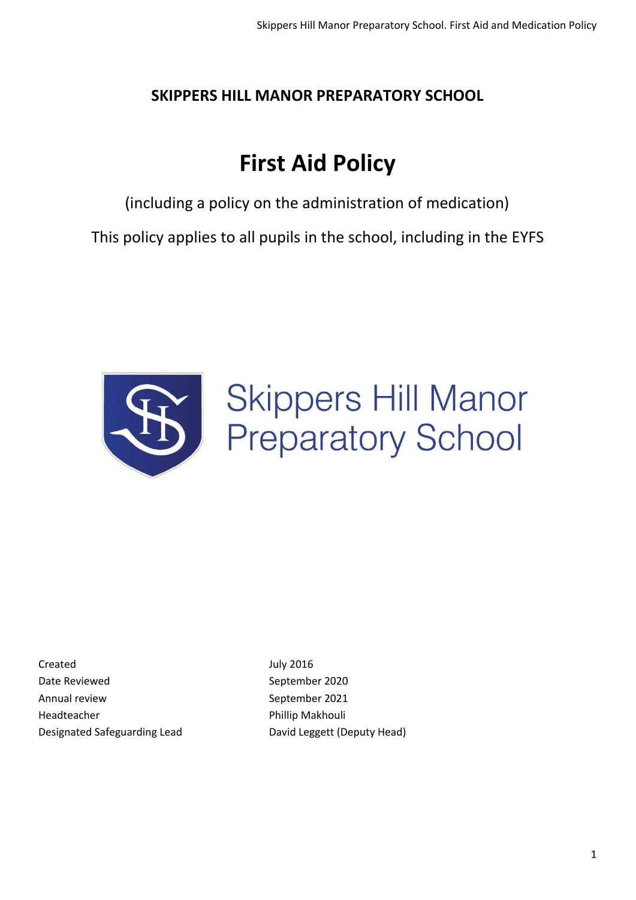# **SKIPPERS HILL MANOR PREPARATORY SCHOOL**

# **First Aid Policy**

(including a policy on the administration of medication)

This policy applies to all pupils in the school, including in the EYFS



# **Skippers Hill Manor Preparatory School**

Created July 2016 Date Reviewed and September 2020 Annual review September 2021 Headteacher **Phillip Makhouli** Designated Safeguarding Lead David Leggett (Deputy Head)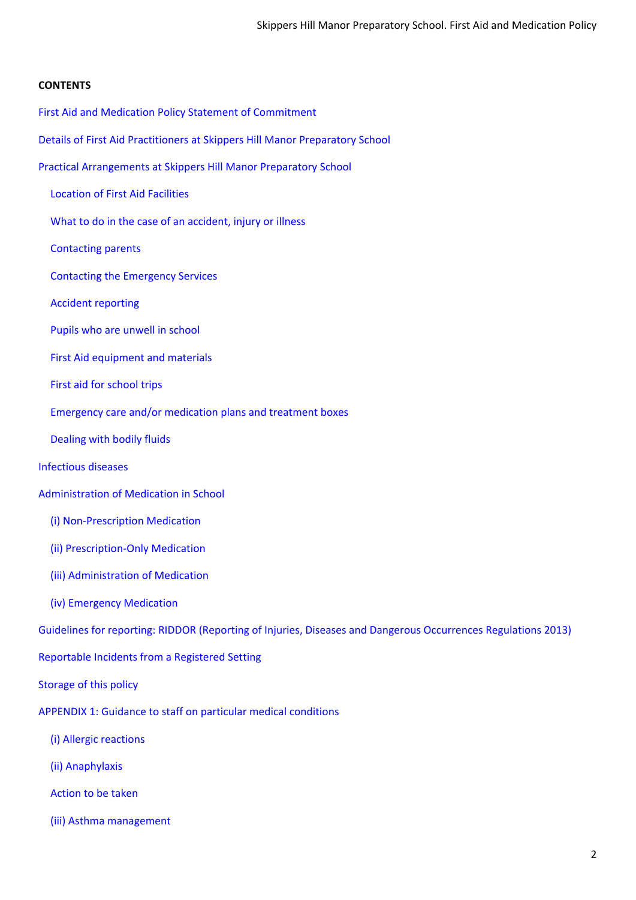#### **CONTENTS**

- First Aid and Medication Policy Statement of Commitment
- Details of First Aid Practitioners at Skippers Hill Manor Preparatory School
- Practical Arrangements at Skippers Hill Manor Preparatory School
	- Location of First Aid Facilities
	- What to do in the case of an accident, injury or illness
	- Contacting parents
	- Contacting the Emergency Services
	- Accident reporting
	- Pupils who are unwell in school
	- First Aid equipment and materials
	- First aid for school trips
	- Emergency care and/or medication plans and treatment boxes
	- [Dealing](#page-7-0) with bodily fluids
- Infectious diseases
- [Administration](#page-9-0) of Medication in School
	- (i) [Non-Prescription](#page-9-1) Medication
	- (ii) Prescription-Only Medication
	- (iii) Administration of Medication
	- (iv) Emergency [Medication](#page-10-0)

Guidelines for reporting: RIDDOR (Reporting of Injuries, Diseases and Dangerous Occurrences Regulations 2013)

- Reportable Incidents from a Registered Setting
- Storage of this policy
- APPENDIX 1: Guidance to staff on particular medical conditions
	- (i) Allergic [reactions](#page-13-0)
	- (ii) [Anaphylaxis](#page-13-1)
	- [Action](#page-13-2) to be taken
	- (iii) Asthma [management](#page-14-0)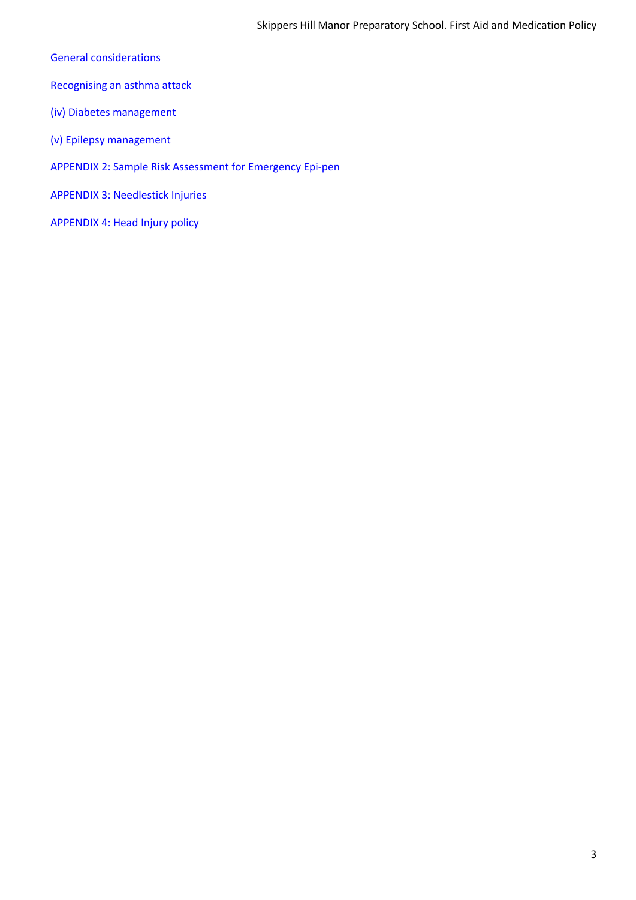- General [considerations](#page-14-1)
- [Recognising](#page-14-2) an asthma attack
- (iv) Diabetes [management](#page-15-0)
- (v) Epilepsy [management](#page-16-0)
- APPENDIX 2: Sample Risk Assessment for Emergency Epi-pen
- APPENDIX 3: Needlestick Injuries
- APPENDIX 4: Head Injury policy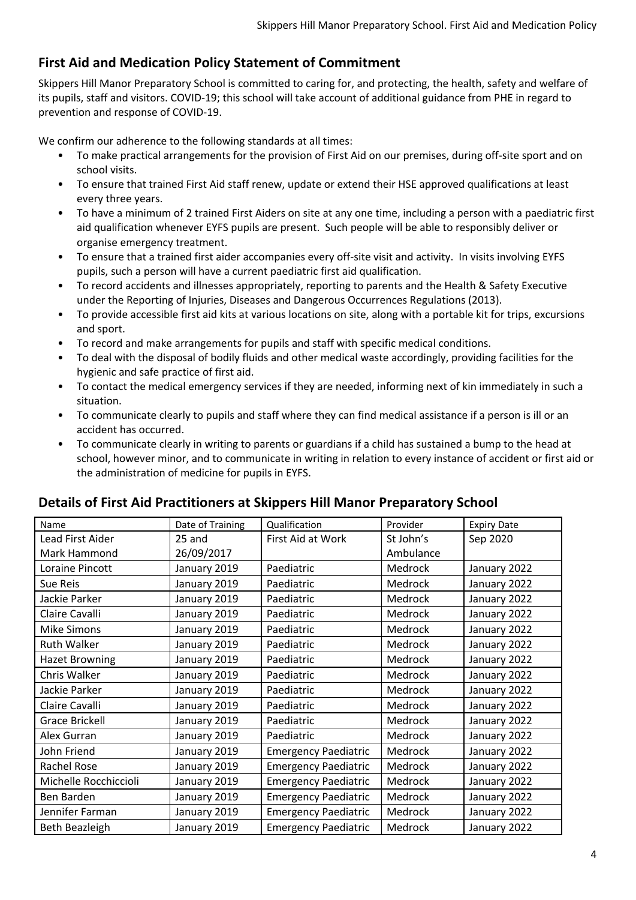# **First Aid and Medication Policy Statement of Commitment**

Skippers Hill Manor Preparatory School is committed to caring for, and protecting, the health, safety and welfare of its pupils, staff and visitors. COVID-19; this school will take account of additional guidance from PHE in regard to prevention and response of COVID-19.

We confirm our adherence to the following standards at all times:

- To make practical arrangements for the provision of First Aid on our premises, during off-site sport and on school visits.
- To ensure that trained First Aid staff renew, update or extend their HSE approved qualifications at least every three years.
- To have a minimum of 2 trained First Aiders on site at any one time, including a person with a paediatric first aid qualification whenever EYFS pupils are present. Such people will be able to responsibly deliver or organise emergency treatment.
- To ensure that a trained first aider accompanies every off-site visit and activity. In visits involving EYFS pupils, such a person will have a current paediatric first aid qualification.
- To record accidents and illnesses appropriately, reporting to parents and the Health & Safety Executive under the Reporting of Injuries, Diseases and Dangerous Occurrences Regulations (2013).
- To provide accessible first aid kits at various locations on site, along with a portable kit for trips, excursions and sport.
- To record and make arrangements for pupils and staff with specific medical conditions.
- To deal with the disposal of bodily fluids and other medical waste accordingly, providing facilities for the hygienic and safe practice of first aid.
- To contact the medical emergency services if they are needed, informing next of kin immediately in such a situation.
- To communicate clearly to pupils and staff where they can find medical assistance if a person is ill or an accident has occurred.
- To communicate clearly in writing to parents or guardians if a child has sustained a bump to the head at school, however minor, and to communicate in writing in relation to every instance of accident or first aid or the administration of medicine for pupils in EYFS.

| Name                  | Date of Training | Qualification               | Provider  | <b>Expiry Date</b> |
|-----------------------|------------------|-----------------------------|-----------|--------------------|
| Lead First Aider      | 25 and           | First Aid at Work           | St John's | Sep 2020           |
| Mark Hammond          | 26/09/2017       |                             | Ambulance |                    |
| Loraine Pincott       | January 2019     | Paediatric                  | Medrock   | January 2022       |
| Sue Reis              | January 2019     | Paediatric                  | Medrock   | January 2022       |
| Jackie Parker         | January 2019     | Paediatric                  | Medrock   | January 2022       |
| Claire Cavalli        | January 2019     | Paediatric                  | Medrock   | January 2022       |
| <b>Mike Simons</b>    | January 2019     | Paediatric                  | Medrock   | January 2022       |
| <b>Ruth Walker</b>    | January 2019     | Paediatric                  | Medrock   | January 2022       |
| <b>Hazet Browning</b> | January 2019     | Paediatric                  | Medrock   | January 2022       |
| Chris Walker          | January 2019     | Paediatric                  | Medrock   | January 2022       |
| Jackie Parker         | January 2019     | Paediatric                  | Medrock   | January 2022       |
| Claire Cavalli        | January 2019     | Paediatric                  | Medrock   | January 2022       |
| <b>Grace Brickell</b> | January 2019     | Paediatric                  | Medrock   | January 2022       |
| Alex Gurran           | January 2019     | Paediatric                  | Medrock   | January 2022       |
| John Friend           | January 2019     | <b>Emergency Paediatric</b> | Medrock   | January 2022       |
| <b>Rachel Rose</b>    | January 2019     | <b>Emergency Paediatric</b> | Medrock   | January 2022       |
| Michelle Rocchiccioli | January 2019     | <b>Emergency Paediatric</b> | Medrock   | January 2022       |
| Ben Barden            | January 2019     | <b>Emergency Paediatric</b> | Medrock   | January 2022       |
| Jennifer Farman       | January 2019     | <b>Emergency Paediatric</b> | Medrock   | January 2022       |
| Beth Beazleigh        | January 2019     | <b>Emergency Paediatric</b> | Medrock   | January 2022       |

#### **Details of First Aid Practitioners at Skippers Hill Manor Preparatory School**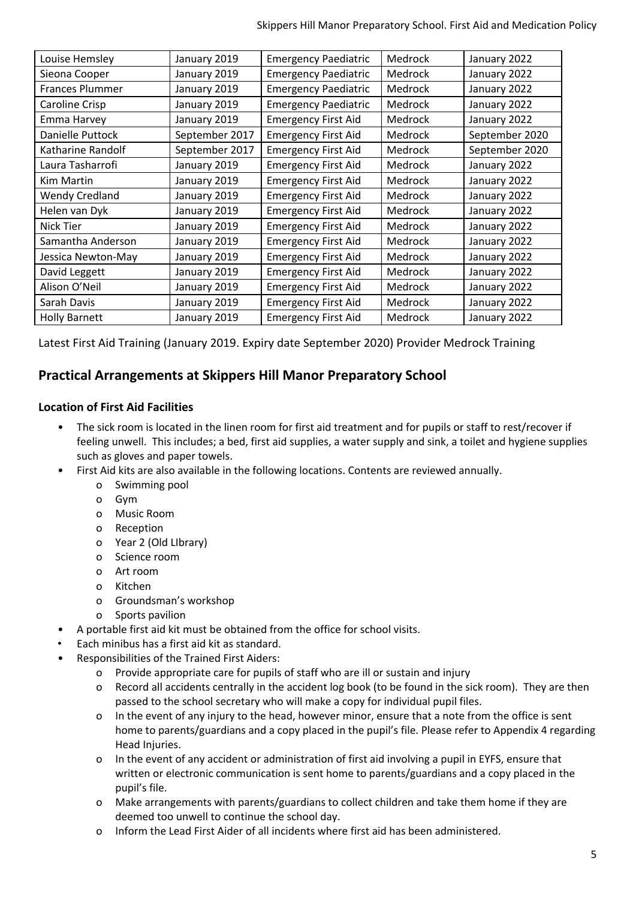| Louise Hemsley        | January 2019   | <b>Emergency Paediatric</b> | Medrock        | January 2022   |
|-----------------------|----------------|-----------------------------|----------------|----------------|
| Sieona Cooper         | January 2019   | <b>Emergency Paediatric</b> | Medrock        | January 2022   |
| Frances Plummer       | January 2019   | <b>Emergency Paediatric</b> | Medrock        | January 2022   |
| Caroline Crisp        | January 2019   | <b>Emergency Paediatric</b> | Medrock        | January 2022   |
| Emma Harvey           | January 2019   | <b>Emergency First Aid</b>  | Medrock        | January 2022   |
| Danielle Puttock      | September 2017 | <b>Emergency First Aid</b>  | Medrock        | September 2020 |
| Katharine Randolf     | September 2017 | <b>Emergency First Aid</b>  | Medrock        | September 2020 |
| Laura Tasharrofi      | January 2019   | <b>Emergency First Aid</b>  | Medrock        | January 2022   |
| Kim Martin            | January 2019   | <b>Emergency First Aid</b>  | Medrock        | January 2022   |
| <b>Wendy Credland</b> | January 2019   | <b>Emergency First Aid</b>  | Medrock        | January 2022   |
| Helen van Dyk         | January 2019   | <b>Emergency First Aid</b>  | Medrock        | January 2022   |
| Nick Tier             | January 2019   | <b>Emergency First Aid</b>  | <b>Medrock</b> | January 2022   |
| Samantha Anderson     | January 2019   | <b>Emergency First Aid</b>  | <b>Medrock</b> | January 2022   |
| Jessica Newton-May    | January 2019   | <b>Emergency First Aid</b>  | Medrock        | January 2022   |
| David Leggett         | January 2019   | <b>Emergency First Aid</b>  | Medrock        | January 2022   |
| Alison O'Neil         | January 2019   | <b>Emergency First Aid</b>  | Medrock        | January 2022   |
| Sarah Davis           | January 2019   | <b>Emergency First Aid</b>  | Medrock        | January 2022   |
| <b>Holly Barnett</b>  | January 2019   | <b>Emergency First Aid</b>  | Medrock        | January 2022   |

Latest First Aid Training (January 2019. Expiry date September 2020) Provider Medrock Training

# **Practical Arrangements at Skippers Hill Manor Preparatory School**

#### **Location of First Aid Facilities**

- The sick room is located in the linen room for first aid treatment and for pupils or staff to rest/recover if feeling unwell. This includes; a bed, first aid supplies, a water supply and sink, a toilet and hygiene supplies such as gloves and paper towels.
- First Aid kits are also available in the following locations. Contents are reviewed annually.
	- o Swimming pool
	- o Gym
	- o Music Room
	- o Reception
	- o Year 2 (Old LIbrary)
	- o Science room
	- o Art room
	- o Kitchen
	- o Groundsman's workshop
	- o Sports pavilion
	- A portable first aid kit must be obtained from the office for school visits.
- Each minibus has a first aid kit as standard.
- Responsibilities of the Trained First Aiders:
	- o Provide appropriate care for pupils of staff who are ill or sustain and injury
	- o Record all accidents centrally in the accident log book (to be found in the sick room). They are then passed to the school secretary who will make a copy for individual pupil files.
	- o In the event of any injury to the head, however minor, ensure that a note from the office is sent home to parents/guardians and a copy placed in the pupil's file. Please refer to Appendix 4 regarding Head Injuries.
	- o In the event of any accident or administration of first aid involving a pupil in EYFS, ensure that written or electronic communication is sent home to parents/guardians and a copy placed in the pupil's file.
	- o Make arrangements with parents/guardians to collect children and take them home if they are deemed too unwell to continue the school day.
	- o Inform the Lead First Aider of all incidents where first aid has been administered.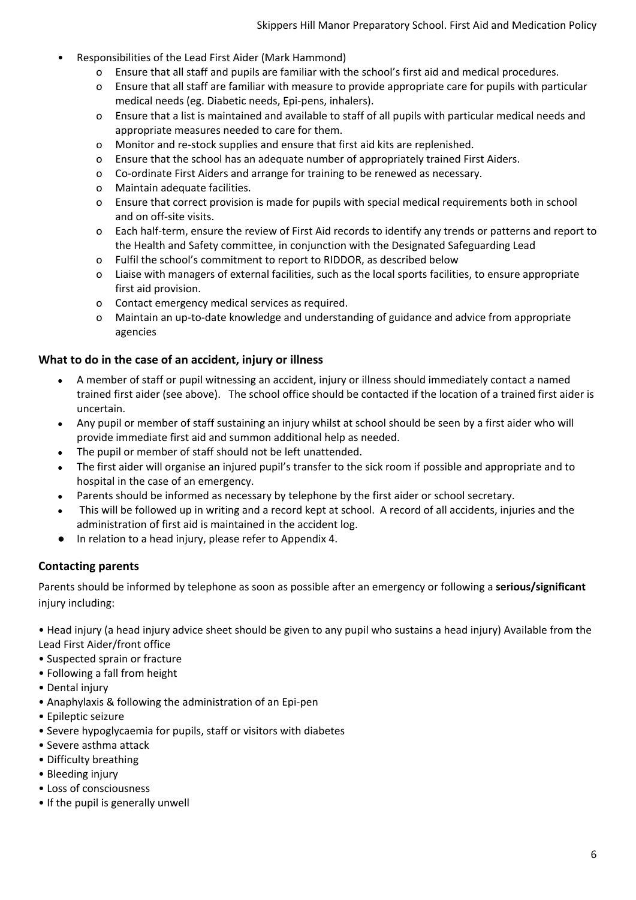- Responsibilities of the Lead First Aider (Mark Hammond)
	- o Ensure that all staff and pupils are familiar with the school's first aid and medical procedures.
	- o Ensure that all staff are familiar with measure to provide appropriate care for pupils with particular medical needs (eg. Diabetic needs, Epi-pens, inhalers).
	- o Ensure that a list is maintained and available to staff of all pupils with particular medical needs and appropriate measures needed to care for them.
	- o Monitor and re-stock supplies and ensure that first aid kits are replenished.
	- o Ensure that the school has an adequate number of appropriately trained First Aiders.
	- o Co-ordinate First Aiders and arrange for training to be renewed as necessary.
	- o Maintain adequate facilities.
	- o Ensure that correct provision is made for pupils with special medical requirements both in school and on off-site visits.
	- o Each half-term, ensure the review of First Aid records to identify any trends or patterns and report to the Health and Safety committee, in conjunction with the Designated Safeguarding Lead
	- o Fulfil the school's commitment to report to RIDDOR, as described below
	- o Liaise with managers of external facilities, such as the local sports facilities, to ensure appropriate first aid provision.
	- o Contact emergency medical services as required.
	- o Maintain an up-to-date knowledge and understanding of guidance and advice from appropriate agencies

#### **What to do in the case of an accident, injury or illness**

- A member of staff or pupil witnessing an accident, injury or illness should immediately contact a named trained first aider (see above). The school office should be contacted if the location of a trained first aider is uncertain.
- Any pupil or member of staff sustaining an injury whilst at school should be seen by a first aider who will provide immediate first aid and summon additional help as needed.
- The pupil or member of staff should not be left unattended.
- The first aider will organise an injured pupil's transfer to the sick room if possible and appropriate and to hospital in the case of an emergency.
- Parents should be informed as necessary by telephone by the first aider or school secretary.
- This will be followed up in writing and a record kept at school. A record of all accidents, injuries and the administration of first aid is maintained in the accident log.
- In relation to a head injury, please refer to Appendix 4.

#### **Contacting parents**

Parents should be informed by telephone as soon as possible after an emergency or following a **serious/significant** injury including:

• Head injury (a head injury advice sheet should be given to any pupil who sustains a head injury) Available from the Lead First Aider/front office

- Suspected sprain or fracture
- Following a fall from height
- Dental injury
- Anaphylaxis & following the administration of an Epi-pen
- Epileptic seizure
- Severe hypoglycaemia for pupils, staff or visitors with diabetes
- Severe asthma attack
- Difficulty breathing
- Bleeding injury
- Loss of consciousness
- If the pupil is generally unwell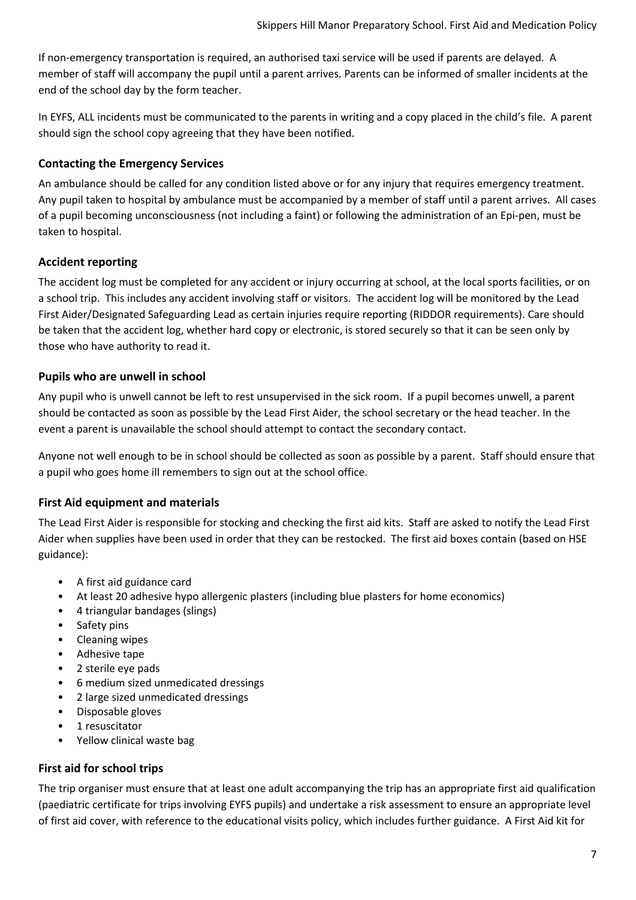If non-emergency transportation is required, an authorised taxi service will be used if parents are delayed. A member of staff will accompany the pupil until a parent arrives. Parents can be informed of smaller incidents at the end of the school day by the form teacher.

In EYFS, ALL incidents must be communicated to the parents in writing and a copy placed in the child's file. A parent should sign the school copy agreeing that they have been notified.

#### **Contacting the Emergency Services**

An ambulance should be called for any condition listed above or for any injury that requires emergency treatment. Any pupil taken to hospital by ambulance must be accompanied by a member of staff until a parent arrives. All cases of a pupil becoming unconsciousness (not including a faint) or following the administration of an Epi-pen, must be taken to hospital.

#### **Accident reporting**

The accident log must be completed for any accident or injury occurring at school, at the local sports facilities, or on a school trip. This includes any accident involving staff or visitors. The accident log will be monitored by the Lead First Aider/Designated Safeguarding Lead as certain injuries require reporting (RIDDOR requirements). Care should be taken that the accident log, whether hard copy or electronic, is stored securely so that it can be seen only by those who have authority to read it.

#### **Pupils who are unwell in school**

Any pupil who is unwell cannot be left to rest unsupervised in the sick room. If a pupil becomes unwell, a parent should be contacted as soon as possible by the Lead First Aider, the school secretary or the head teacher. In the event a parent is unavailable the school should attempt to contact the secondary contact.

Anyone not well enough to be in school should be collected as soon as possible by a parent. Staff should ensure that a pupil who goes home ill remembers to sign out at the school office.

#### **First Aid equipment and materials**

The Lead First Aider is responsible for stocking and checking the first aid kits. Staff are asked to notify the Lead First Aider when supplies have been used in order that they can be restocked. The first aid boxes contain (based on HSE guidance):

- A first aid guidance card
- At least 20 adhesive hypo allergenic plasters (including blue plasters for home economics)
- 4 triangular bandages (slings)
- Safety pins
- Cleaning wipes
- Adhesive tape
- 2 sterile eye pads
- 6 medium sized unmedicated dressings
- 2 large sized unmedicated dressings
- Disposable gloves
- 1 resuscitator
- Yellow clinical waste bag

#### **First aid for school trips**

The trip organiser must ensure that at least one adult accompanying the trip has an appropriate first aid qualification (paediatric certificate for trips involving EYFS pupils) and undertake a risk assessment to ensure an appropriate level of first aid cover, with reference to the educational visits policy, which includes further guidance. A First Aid kit for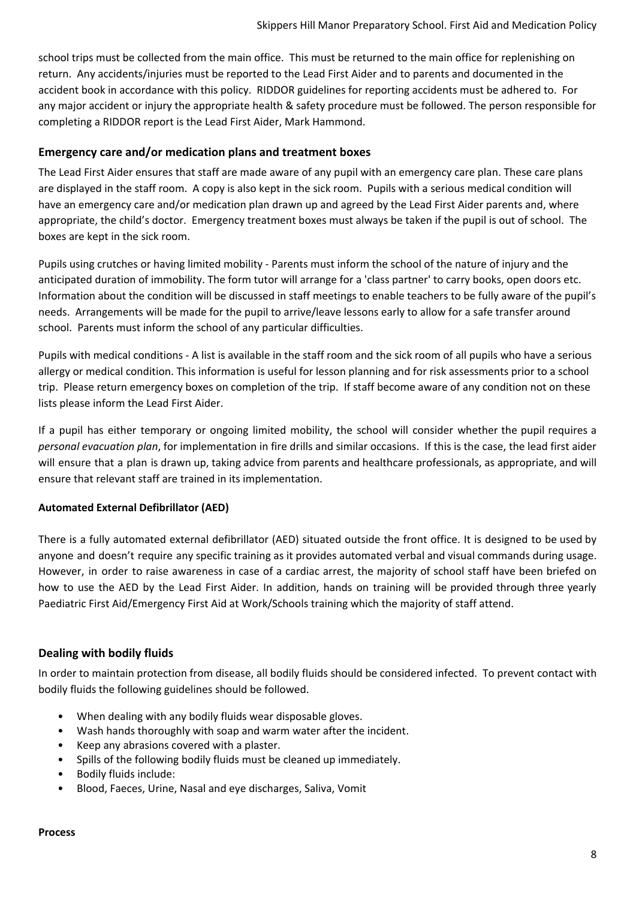school trips must be collected from the main office. This must be returned to the main office for replenishing on return. Any accidents/injuries must be reported to the Lead First Aider and to parents and documented in the accident book in accordance with this policy. RIDDOR guidelines for reporting accidents must be adhered to. For any major accident or injury the appropriate health & safety procedure must be followed. The person responsible for completing a RIDDOR report is the Lead First Aider, Mark Hammond.

#### **Emergency care and/or medication plans and treatment boxes**

The Lead First Aider ensures that staff are made aware of any pupil with an emergency care plan. These care plans are displayed in the staff room. A copy is also kept in the sick room. Pupils with a serious medical condition will have an emergency care and/or medication plan drawn up and agreed by the Lead First Aider parents and, where appropriate, the child's doctor. Emergency treatment boxes must always be taken if the pupil is out of school. The boxes are kept in the sick room.

Pupils using crutches or having limited mobility - Parents must inform the school of the nature of injury and the anticipated duration of immobility. The form tutor will arrange for a 'class partner' to carry books, open doors etc. Information about the condition will be discussed in staff meetings to enable teachers to be fully aware of the pupil's needs. Arrangements will be made for the pupil to arrive/leave lessons early to allow for a safe transfer around school. Parents must inform the school of any particular difficulties.

Pupils with medical conditions - A list is available in the staff room and the sick room of all pupils who have a serious allergy or medical condition. This information is useful for lesson planning and for risk assessments prior to a school trip. Please return emergency boxes on completion of the trip. If staff become aware of any condition not on these lists please inform the Lead First Aider.

If a pupil has either temporary or ongoing limited mobility, the school will consider whether the pupil requires a *personal evacuation plan*, for implementation in fire drills and similar occasions. If this is the case, the lead first aider will ensure that a plan is drawn up, taking advice from parents and healthcare professionals, as appropriate, and will ensure that relevant staff are trained in its implementation.

#### **Automated External Defibrillator (AED)**

There is a fully automated external defibrillator (AED) situated outside the front office. It is designed to be used by anyone and doesn't require any specific training as it provides automated verbal and visual commands during usage. However, in order to raise awareness in case of a cardiac arrest, the majority of school staff have been briefed on how to use the AED by the Lead First Aider. In addition, hands on training will be provided through three yearly Paediatric First Aid/Emergency First Aid at Work/Schools training which the majority of staff attend.

#### <span id="page-7-0"></span>**Dealing with bodily fluids**

In order to maintain protection from disease, all bodily fluids should be considered infected. To prevent contact with bodily fluids the following guidelines should be followed.

- When dealing with any bodily fluids wear disposable gloves.
- Wash hands thoroughly with soap and warm water after the incident.
- Keep any abrasions covered with a plaster.
- Spills of the following bodily fluids must be cleaned up immediately.
- Bodily fluids include:
- Blood, Faeces, Urine, Nasal and eye discharges, Saliva, Vomit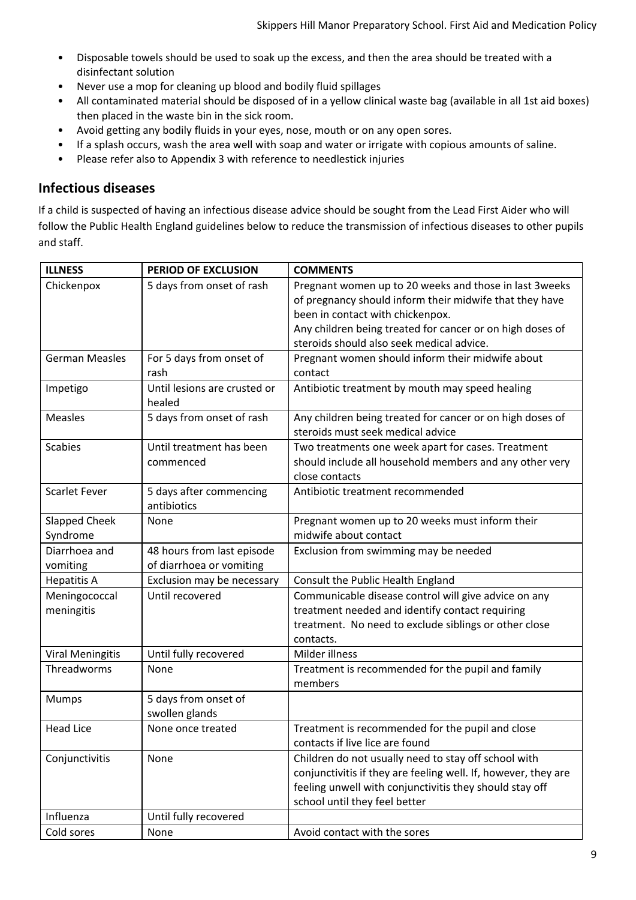- Disposable towels should be used to soak up the excess, and then the area should be treated with a disinfectant solution
- Never use a mop for cleaning up blood and bodily fluid spillages
- All contaminated material should be disposed of in a yellow clinical waste bag (available in all 1st aid boxes) then placed in the waste bin in the sick room.
- Avoid getting any bodily fluids in your eyes, nose, mouth or on any open sores.
- If a splash occurs, wash the area well with soap and water or irrigate with copious amounts of saline.
- Please refer also to Appendix 3 with reference to needlestick injuries

#### **Infectious diseases**

If a child is suspected of having an infectious disease advice should be sought from the Lead First Aider who will follow the Public Health England guidelines below to reduce the transmission of infectious diseases to other pupils and staff.

| <b>ILLNESS</b>                   | <b>PERIOD OF EXCLUSION</b>                             | <b>COMMENTS</b>                                                                                                                                                                                                                                                 |
|----------------------------------|--------------------------------------------------------|-----------------------------------------------------------------------------------------------------------------------------------------------------------------------------------------------------------------------------------------------------------------|
| Chickenpox                       | 5 days from onset of rash                              | Pregnant women up to 20 weeks and those in last 3weeks<br>of pregnancy should inform their midwife that they have<br>been in contact with chickenpox.<br>Any children being treated for cancer or on high doses of<br>steroids should also seek medical advice. |
| <b>German Measles</b>            | For 5 days from onset of<br>rash                       | Pregnant women should inform their midwife about<br>contact                                                                                                                                                                                                     |
| Impetigo                         | Until lesions are crusted or<br>healed                 | Antibiotic treatment by mouth may speed healing                                                                                                                                                                                                                 |
| Measles                          | 5 days from onset of rash                              | Any children being treated for cancer or on high doses of<br>steroids must seek medical advice                                                                                                                                                                  |
| <b>Scabies</b>                   | Until treatment has been<br>commenced                  | Two treatments one week apart for cases. Treatment<br>should include all household members and any other very<br>close contacts                                                                                                                                 |
| <b>Scarlet Fever</b>             | 5 days after commencing<br>antibiotics                 | Antibiotic treatment recommended                                                                                                                                                                                                                                |
| <b>Slapped Cheek</b><br>Syndrome | None                                                   | Pregnant women up to 20 weeks must inform their<br>midwife about contact                                                                                                                                                                                        |
| Diarrhoea and<br>vomiting        | 48 hours from last episode<br>of diarrhoea or vomiting | Exclusion from swimming may be needed                                                                                                                                                                                                                           |
| <b>Hepatitis A</b>               | Exclusion may be necessary                             | Consult the Public Health England                                                                                                                                                                                                                               |
| Meningococcal<br>meningitis      | Until recovered                                        | Communicable disease control will give advice on any<br>treatment needed and identify contact requiring<br>treatment. No need to exclude siblings or other close<br>contacts.                                                                                   |
| <b>Viral Meningitis</b>          | Until fully recovered                                  | Milder illness                                                                                                                                                                                                                                                  |
| Threadworms                      | None                                                   | Treatment is recommended for the pupil and family<br>members                                                                                                                                                                                                    |
| <b>Mumps</b>                     | 5 days from onset of<br>swollen glands                 |                                                                                                                                                                                                                                                                 |
| <b>Head Lice</b>                 | None once treated                                      | Treatment is recommended for the pupil and close<br>contacts if live lice are found                                                                                                                                                                             |
| Conjunctivitis                   | None                                                   | Children do not usually need to stay off school with<br>conjunctivitis if they are feeling well. If, however, they are<br>feeling unwell with conjunctivitis they should stay off<br>school until they feel better                                              |
| Influenza                        | Until fully recovered                                  |                                                                                                                                                                                                                                                                 |
| Cold sores                       | None                                                   | Avoid contact with the sores                                                                                                                                                                                                                                    |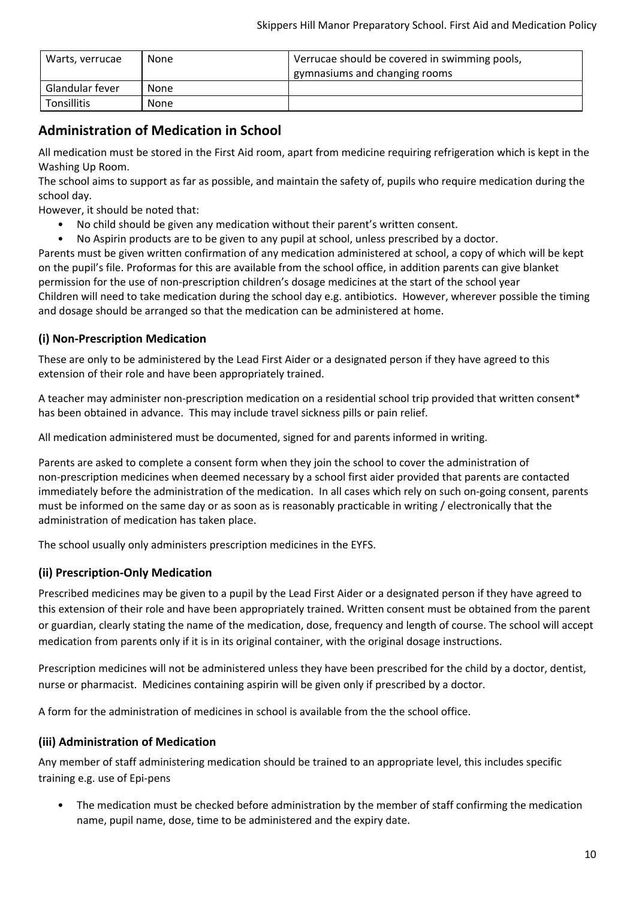| Warts, verrucae | None | Verrucae should be covered in swimming pools,<br>gymnasiums and changing rooms |
|-----------------|------|--------------------------------------------------------------------------------|
| Glandular fever | None |                                                                                |
| Tonsillitis     | None |                                                                                |

# <span id="page-9-0"></span>**Administration of Medication in School**

All medication must be stored in the First Aid room, apart from medicine requiring refrigeration which is kept in the Washing Up Room.

The school aims to support as far as possible, and maintain the safety of, pupils who require medication during the school day.

However, it should be noted that:

- No child should be given any medication without their parent's written consent.
- No Aspirin products are to be given to any pupil at school, unless prescribed by a doctor.

Parents must be given written confirmation of any medication administered at school, a copy of which will be kept on the pupil's file. Proformas for this are available from the school office, in addition parents can give blanket permission for the use of non-prescription children's dosage medicines at the start of the school year Children will need to take medication during the school day e.g. antibiotics. However, wherever possible the timing and dosage should be arranged so that the medication can be administered at home.

#### <span id="page-9-1"></span>**(i) Non-Prescription Medication**

These are only to be administered by the Lead First Aider or a designated person if they have agreed to this extension of their role and have been appropriately trained.

A teacher may administer non-prescription medication on a residential school trip provided that written consent\* has been obtained in advance. This may include travel sickness pills or pain relief.

All medication administered must be documented, signed for and parents informed in writing.

Parents are asked to complete a consent form when they join the school to cover the administration of non-prescription medicines when deemed necessary by a school first aider provided that parents are contacted immediately before the administration of the medication. In all cases which rely on such on-going consent, parents must be informed on the same day or as soon as is reasonably practicable in writing / electronically that the administration of medication has taken place.

The school usually only administers prescription medicines in the EYFS.

#### **(ii) Prescription-Only Medication**

Prescribed medicines may be given to a pupil by the Lead First Aider or a designated person if they have agreed to this extension of their role and have been appropriately trained. Written consent must be obtained from the parent or guardian, clearly stating the name of the medication, dose, frequency and length of course. The school will accept medication from parents only if it is in its original container, with the original dosage instructions.

Prescription medicines will not be administered unless they have been prescribed for the child by a doctor, dentist, nurse or pharmacist. Medicines containing aspirin will be given only if prescribed by a doctor.

A form for the administration of medicines in school is available from the the school office.

#### **(iii) Administration of Medication**

Any member of staff administering medication should be trained to an appropriate level, this includes specific training e.g. use of Epi-pens

• The medication must be checked before administration by the member of staff confirming the medication name, pupil name, dose, time to be administered and the expiry date.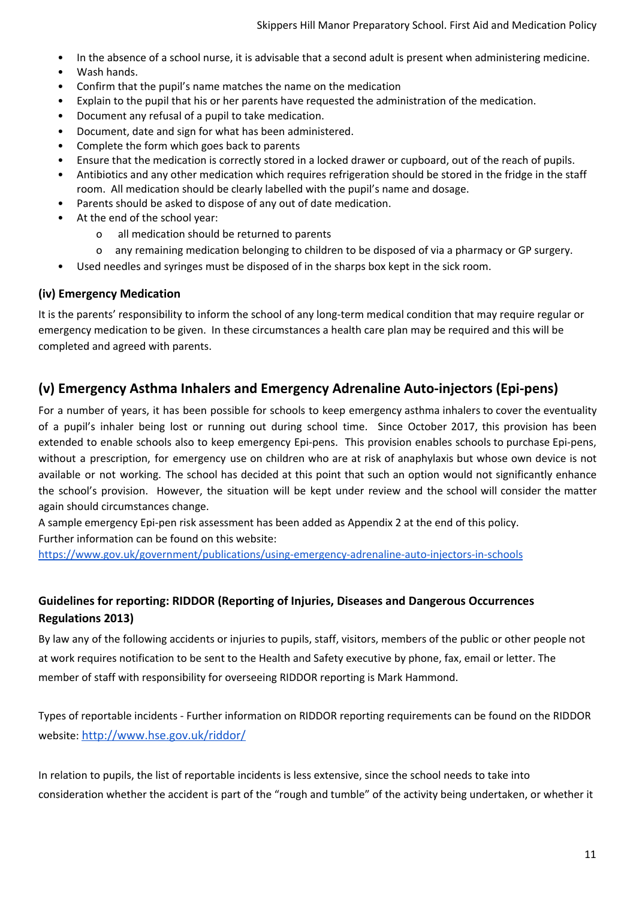- In the absence of a school nurse, it is advisable that a second adult is present when administering medicine.
- Wash hands.
- Confirm that the pupil's name matches the name on the medication
- Explain to the pupil that his or her parents have requested the administration of the medication.
- Document any refusal of a pupil to take medication.
- Document, date and sign for what has been administered.
- Complete the form which goes back to parents
- Ensure that the medication is correctly stored in a locked drawer or cupboard, out of the reach of pupils.
- Antibiotics and any other medication which requires refrigeration should be stored in the fridge in the staff room. All medication should be clearly labelled with the pupil's name and dosage.
- Parents should be asked to dispose of any out of date medication.
- At the end of the school year:
	- o all medication should be returned to parents
	- o any remaining medication belonging to children to be disposed of via a pharmacy or GP surgery.
- <span id="page-10-0"></span>Used needles and syringes must be disposed of in the sharps box kept in the sick room.

#### **(iv) Emergency Medication**

It is the parents' responsibility to inform the school of any long-term medical condition that may require regular or emergency medication to be given. In these circumstances a health care plan may be required and this will be completed and agreed with parents.

#### **(v) Emergency Asthma Inhalers and Emergency Adrenaline Auto-injectors (Epi-pens)**

For a number of years, it has been possible for schools to keep emergency asthma inhalers to cover the eventuality of a pupil's inhaler being lost or running out during school time. Since October 2017, this provision has been extended to enable schools also to keep emergency Epi-pens. This provision enables schools to purchase Epi-pens, without a prescription, for emergency use on children who are at risk of anaphylaxis but whose own device is not available or not working. The school has decided at this point that such an option would not significantly enhance the school's provision. However, the situation will be kept under review and the school will consider the matter again should circumstances change.

A sample emergency Epi-pen risk assessment has been added as Appendix 2 at the end of this policy. Further information can be found on this website:

<https://www.gov.uk/government/publications/using-emergency-adrenaline-auto-injectors-in-schools>

#### **Guidelines for reporting: RIDDOR (Reporting of Injuries, Diseases and Dangerous Occurrences Regulations 2013)**

By law any of the following accidents or injuries to pupils, staff, visitors, members of the public or other people not at work requires notification to be sent to the Health and Safety executive by phone, fax, email or letter. The member of staff with responsibility for overseeing RIDDOR reporting is Mark Hammond.

Types of reportable incidents - Further information on RIDDOR reporting requirements can be found on the RIDDOR website: <http://www.hse.gov.uk/riddor/>

In relation to pupils, the list of reportable incidents is less extensive, since the school needs to take into consideration whether the accident is part of the "rough and tumble" of the activity being undertaken, or whether it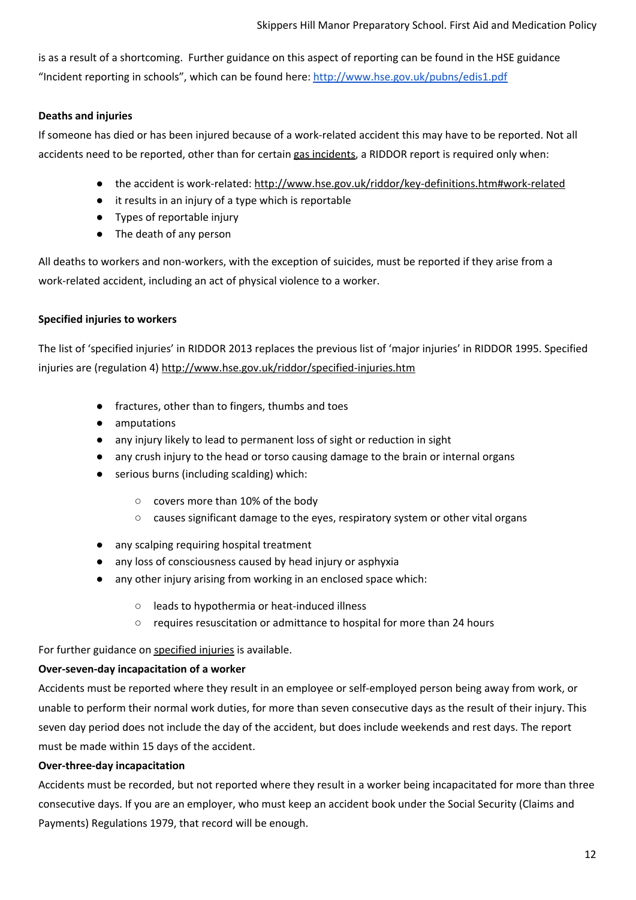is as a result of a shortcoming. Further guidance on this aspect of reporting can be found in the HSE guidance "Incident reporting in schools", which can be found here: <http://www.hse.gov.uk/pubns/edis1.pdf>

#### **Deaths and injuries**

If someone has died or has been injured because of a work-related accident this may have to be reported. Not all accidents need to be reported, other than for certain gas [incidents](http://www.hse.gov.uk/riddor/reportable-incidents.htm), a RIDDOR report is required only when:

- the accident is [work-related](http://www.hse.gov.uk/riddor/key-definitions.htm): <http://www.hse.gov.uk/riddor/key-definitions.htm#work-related>
- it results in an injury of a type which is reportable
- Types of reportable injury
- The death of any person

All deaths to workers and non-workers, with the exception of suicides, must be reported if they arise from a work-related accident, including an act of physical violence to a worker.

#### **Specified injuries to workers**

The list of 'specified injuries' in RIDDOR 2013 replaces the previous list of 'major injuries' in RIDDOR 1995. Specified injuries are (regulation 4) <http://www.hse.gov.uk/riddor/specified-injuries.htm>

- fractures, other than to fingers, thumbs and toes
- amputations
- any injury likely to lead to permanent loss of sight or reduction in sight
- any crush injury to the head or torso causing damage to the brain or internal organs
- serious burns (including scalding) which:
	- covers more than 10% of the body
	- causes significant damage to the eyes, respiratory system or other vital organs
- any scalping requiring hospital treatment
- any loss of consciousness caused by head injury or asphyxia
- any other injury arising from working in an enclosed space which:
	- leads to hypothermia or heat-induced illness
	- requires resuscitation or admittance to hospital for more than 24 hours

For further guidance on [specified](http://www.hse.gov.uk/riddor/specified-injuries.htm) injuries is available.

#### **Over-seven-day incapacitation of a worker**

Accidents must be reported where they result in an employee or self-employed person being away from work, or unable to perform their normal work duties, for more than seven consecutive days as the result of their injury. This seven day period does not include the day of the accident, but does include weekends and rest days. The report must be made within 15 days of the accident.

#### **Over-three-day incapacitation**

Accidents must be recorded, but not reported where they result in a worker being incapacitated for more than three consecutive days. If you are an employer, who must keep an accident book under the Social Security (Claims and Payments) Regulations 1979, that record will be enough.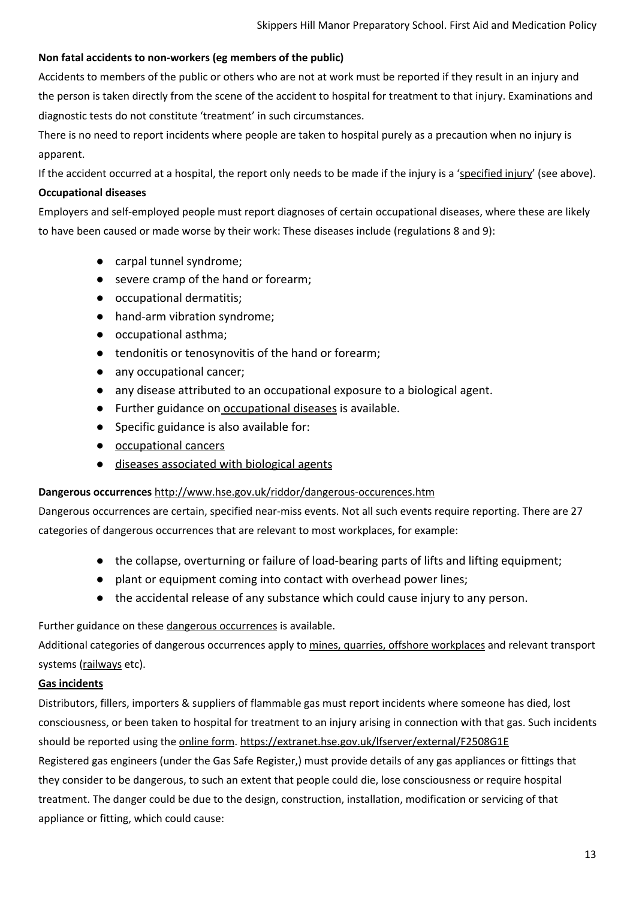#### **Non fatal accidents to non-workers (eg members of the public)**

Accidents to members of the public or others who are not at work must be reported if they result in an injury and the person is taken directly from the scene of the accident to hospital for treatment to that injury. Examinations and diagnostic tests do not constitute 'treatment' in such circumstances.

There is no need to report incidents where people are taken to hospital purely as a precaution when no injury is apparent.

If the accident occurred at a hospital, the report only needs to be made if the injury is a ['specified](http://www.hse.gov.uk/riddor/reportable-incidents.htm) injury' (see above).

#### **Occupational diseases**

Employers and self-employed people must report diagnoses of certain occupational diseases, where these are likely to have been caused or made worse by their work: These diseases include (regulations 8 and 9):

- carpal tunnel syndrome;
- severe cramp of the hand or forearm;
- occupational dermatitis;
- hand-arm vibration syndrome;
- occupational asthma;
- tendonitis or tenosynovitis of the hand or forearm;
- any occupational cancer;
- any disease attributed to an occupational exposure to a biological agent.
- Further guidance on [occupational diseases](http://www.hse.gov.uk/riddor/occupational-diseases.htm) is available.
- Specific guidance is also available for:
- [occupational cancers](http://www.hse.gov.uk/riddor/carcinogens.htm)
- [diseases associated with biological agents](http://www.hse.gov.uk/riddor/carcinogens.htm)

#### **Dangerous occurrences** <http://www.hse.gov.uk/riddor/dangerous-occurences.htm>

Dangerous occurrences are certain, specified near-miss events. Not all such events require reporting. There are 27 categories of dangerous occurrences that are relevant to most workplaces, for example:

- the collapse, overturning or failure of load-bearing parts of lifts and lifting equipment;
- plant or equipment coming into contact with overhead power lines;
- the accidental release of any substance which could cause injury to any person.

Further guidance on these dangerous [occurrences](http://www.hse.gov.uk/riddor/dangerous-occurences.htm) is available.

Additional categories of dangerous occurrences apply to mines, quarries, offshore [workplaces](http://www.legislation.gov.uk/uksi/2013/1471/regulation/13/made) and relevant transport systems [\(railways](http://www.rail-reg.gov.uk/) etc).

#### **Gas incidents**

Distributors, fillers, importers & suppliers of flammable gas must report incidents where someone has died, lost consciousness, or been taken to hospital for treatment to an injury arising in connection with that gas. Such incidents should be reported using the [online](https://extranet.hse.gov.uk/lfserver/external/F2508G1E) form. <https://extranet.hse.gov.uk/lfserver/external/F2508G1E> Registered gas engineers (under the Gas Safe Register,) must provide details of any gas appliances or fittings that

they consider to be dangerous, to such an extent that people could die, lose consciousness or require hospital treatment. The danger could be due to the design, construction, installation, modification or servicing of that appliance or fitting, which could cause: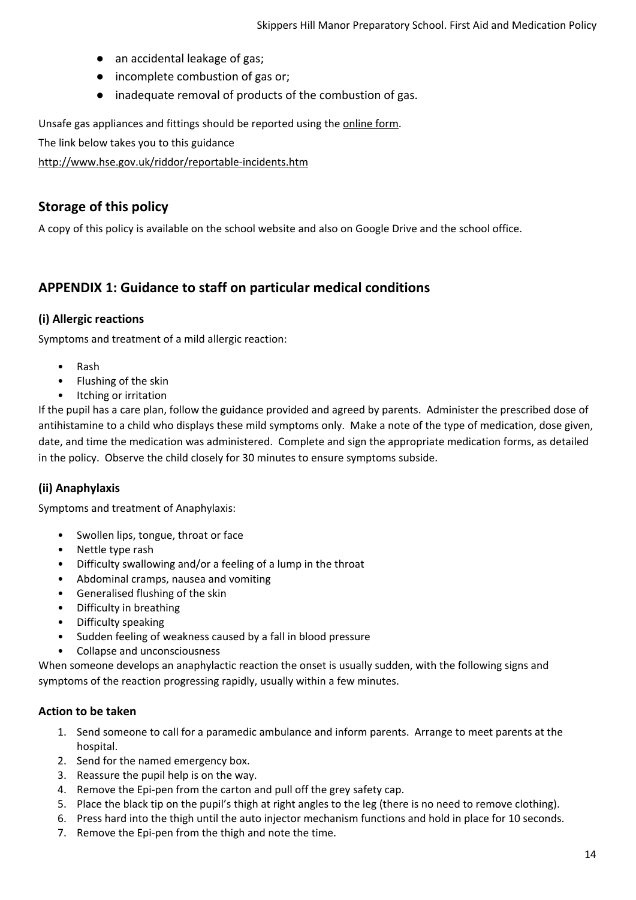- an accidental leakage of gas;
- incomplete combustion of gas or;
- inadequate removal of products of the combustion of gas.

Unsafe gas appliances and fittings should be reported using the [online](https://extranet.hse.gov.uk/lfserver/external/F2508G2E) form.

The link below takes you to this guidance

<http://www.hse.gov.uk/riddor/reportable-incidents.htm>

#### **Storage of this policy**

A copy of this policy is available on the school website and also on Google Drive and the school office.

#### <span id="page-13-0"></span>**APPENDIX 1: Guidance to staff on particular medical conditions**

#### **(i) Allergic reactions**

Symptoms and treatment of a mild allergic reaction:

- Rash
- Flushing of the skin
- Itching or irritation

<span id="page-13-1"></span>If the pupil has a care plan, follow the guidance provided and agreed by parents. Administer the prescribed dose of antihistamine to a child who displays these mild symptoms only. Make a note of the type of medication, dose given, date, and time the medication was administered. Complete and sign the appropriate medication forms, as detailed in the policy. Observe the child closely for 30 minutes to ensure symptoms subside.

#### **(ii) Anaphylaxis**

Symptoms and treatment of Anaphylaxis:

- Swollen lips, tongue, throat or face
- Nettle type rash
- Difficulty swallowing and/or a feeling of a lump in the throat
- Abdominal cramps, nausea and vomiting
- Generalised flushing of the skin
- Difficulty in breathing
- Difficulty speaking
- Sudden feeling of weakness caused by a fall in blood pressure
- Collapse and unconsciousness

<span id="page-13-2"></span>When someone develops an anaphylactic reaction the onset is usually sudden, with the following signs and symptoms of the reaction progressing rapidly, usually within a few minutes.

#### **Action to be taken**

- 1. Send someone to call for a paramedic ambulance and inform parents. Arrange to meet parents at the hospital.
- 2. Send for the named emergency box.
- 3. Reassure the pupil help is on the way.
- 4. Remove the Epi-pen from the carton and pull off the grey safety cap.
- 5. Place the black tip on the pupil's thigh at right angles to the leg (there is no need to remove clothing).
- 6. Press hard into the thigh until the auto injector mechanism functions and hold in place for 10 seconds.
- 7. Remove the Epi-pen from the thigh and note the time.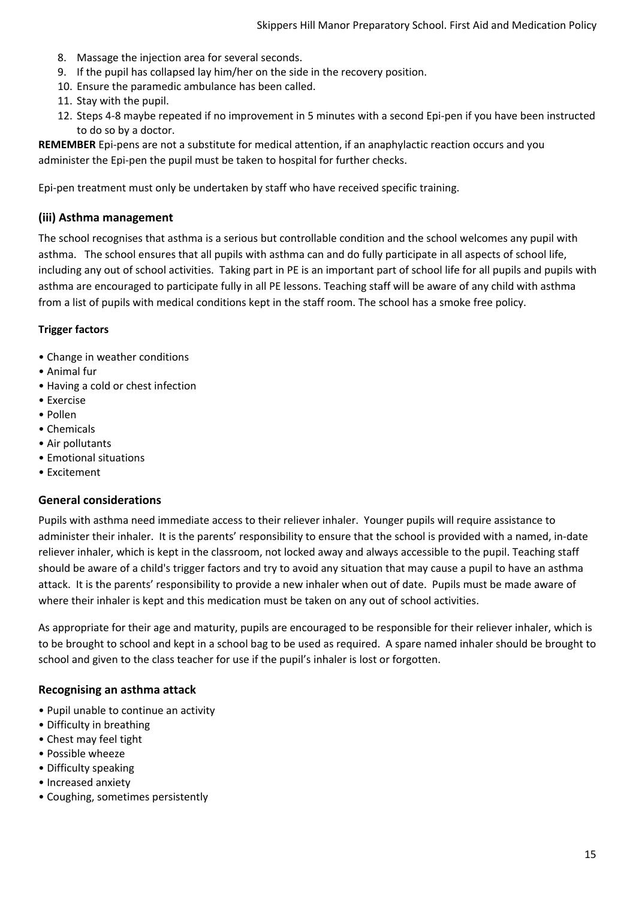- 8. Massage the injection area for several seconds.
- 9. If the pupil has collapsed lay him/her on the side in the recovery position.
- 10. Ensure the paramedic ambulance has been called.
- 11. Stay with the pupil.
- 12. Steps 4-8 maybe repeated if no improvement in 5 minutes with a second Epi-pen if you have been instructed to do so by a doctor.

**REMEMBER** Epi-pens are not a substitute for medical attention, if an anaphylactic reaction occurs and you administer the Epi-pen the pupil must be taken to hospital for further checks.

<span id="page-14-0"></span>Epi-pen treatment must only be undertaken by staff who have received specific training.

#### **(iii) Asthma management**

The school recognises that asthma is a serious but controllable condition and the school welcomes any pupil with asthma. The school ensures that all pupils with asthma can and do fully participate in all aspects of school life, including any out of school activities. Taking part in PE is an important part of school life for all pupils and pupils with asthma are encouraged to participate fully in all PE lessons. Teaching staff will be aware of any child with asthma from a list of pupils with medical conditions kept in the staff room. The school has a smoke free policy.

#### **Trigger factors**

- Change in weather conditions
- Animal fur
- Having a cold or chest infection
- Exercise
- Pollen
- Chemicals
- Air pollutants
- Emotional situations
- <span id="page-14-1"></span>• Excitement

#### **General considerations**

Pupils with asthma need immediate access to their reliever inhaler. Younger pupils will require assistance to administer their inhaler. It is the parents' responsibility to ensure that the school is provided with a named, in-date reliever inhaler, which is kept in the classroom, not locked away and always accessible to the pupil. Teaching staff should be aware of a child's trigger factors and try to avoid any situation that may cause a pupil to have an asthma attack. It is the parents' responsibility to provide a new inhaler when out of date. Pupils must be made aware of where their inhaler is kept and this medication must be taken on any out of school activities.

<span id="page-14-2"></span>As appropriate for their age and maturity, pupils are encouraged to be responsible for their reliever inhaler, which is to be brought to school and kept in a school bag to be used as required. A spare named inhaler should be brought to school and given to the class teacher for use if the pupil's inhaler is lost or forgotten.

#### **Recognising an asthma attack**

- Pupil unable to continue an activity
- Difficulty in breathing
- Chest may feel tight
- Possible wheeze
- Difficulty speaking
- Increased anxiety
- Coughing, sometimes persistently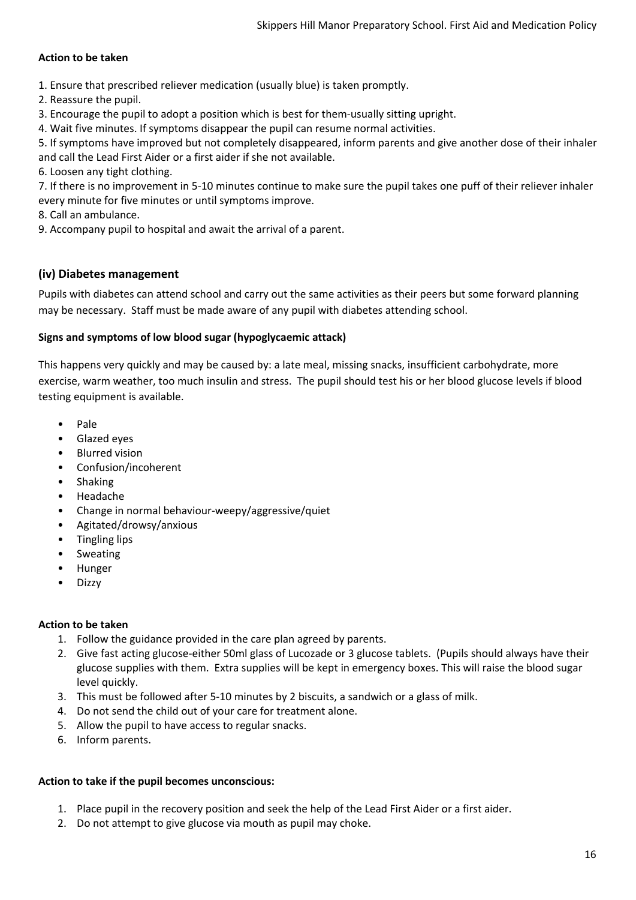#### **Action to be taken**

1. Ensure that prescribed reliever medication (usually blue) is taken promptly.

2. Reassure the pupil.

3. Encourage the pupil to adopt a position which is best for them-usually sitting upright.

4. Wait five minutes. If symptoms disappear the pupil can resume normal activities.

5. If symptoms have improved but not completely disappeared, inform parents and give another dose of their inhaler and call the Lead First Aider or a first aider if she not available.

6. Loosen any tight clothing.

7. If there is no improvement in 5-10 minutes continue to make sure the pupil takes one puff of their reliever inhaler every minute for five minutes or until symptoms improve.

- 8. Call an ambulance.
- <span id="page-15-0"></span>9. Accompany pupil to hospital and await the arrival of a parent.

#### **(iv) Diabetes management**

Pupils with diabetes can attend school and carry out the same activities as their peers but some forward planning may be necessary. Staff must be made aware of any pupil with diabetes attending school.

#### **Signs and symptoms of low blood sugar (hypoglycaemic attack)**

This happens very quickly and may be caused by: a late meal, missing snacks, insufficient carbohydrate, more exercise, warm weather, too much insulin and stress. The pupil should test his or her blood glucose levels if blood testing equipment is available.

- Pale
- Glazed eyes
- Blurred vision
- Confusion/incoherent
- Shaking
- Headache
- Change in normal behaviour-weepy/aggressive/quiet
- Agitated/drowsy/anxious
- Tingling lips
- Sweating
- Hunger
- Dizzy

#### **Action to be taken**

- 1. Follow the guidance provided in the care plan agreed by parents.
- 2. Give fast acting glucose-either 50ml glass of Lucozade or 3 glucose tablets. (Pupils should always have their glucose supplies with them. Extra supplies will be kept in emergency boxes. This will raise the blood sugar level quickly.
- 3. This must be followed after 5-10 minutes by 2 biscuits, a sandwich or a glass of milk.
- 4. Do not send the child out of your care for treatment alone.
- 5. Allow the pupil to have access to regular snacks.
- 6. Inform parents.

#### **Action to take if the pupil becomes unconscious:**

- 1. Place pupil in the recovery position and seek the help of the Lead First Aider or a first aider.
- 2. Do not attempt to give glucose via mouth as pupil may choke.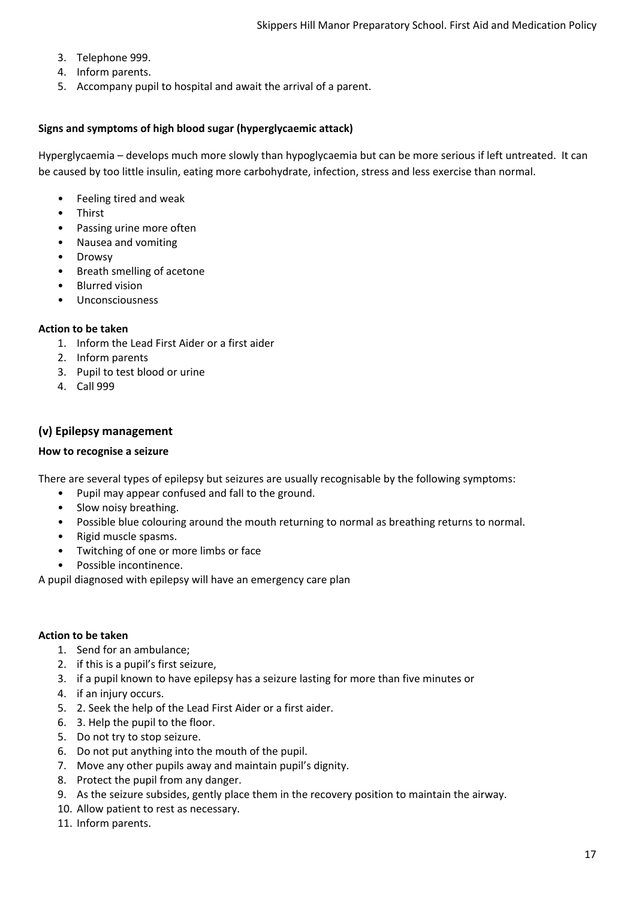- 3. Telephone 999.
- 4. Inform parents.
- 5. Accompany pupil to hospital and await the arrival of a parent.

#### **Signs and symptoms of high blood sugar (hyperglycaemic attack)**

Hyperglycaemia – develops much more slowly than hypoglycaemia but can be more serious if left untreated. It can be caused by too little insulin, eating more carbohydrate, infection, stress and less exercise than normal.

- Feeling tired and weak
- Thirst
- Passing urine more often
- Nausea and vomiting
- **Drowsy**
- Breath smelling of acetone
- Blurred vision
- Unconsciousness

#### **Action to be taken**

- 1. Inform the Lead First Aider or a first aider
- 2. Inform parents
- 3. Pupil to test blood or urine
- <span id="page-16-0"></span>4. Call 999

#### **(v) Epilepsy management**

#### **How to recognise a seizure**

There are several types of epilepsy but seizures are usually recognisable by the following symptoms:

- Pupil may appear confused and fall to the ground.
- Slow noisy breathing.
- Possible blue colouring around the mouth returning to normal as breathing returns to normal.
- Rigid muscle spasms.
- Twitching of one or more limbs or face
- Possible incontinence.

A pupil diagnosed with epilepsy will have an emergency care plan

#### **Action to be taken**

- 1. Send for an ambulance;
- 2. if this is a pupil's first seizure,
- 3. if a pupil known to have epilepsy has a seizure lasting for more than five minutes or
- 4. if an injury occurs.
- 5. 2. Seek the help of the Lead First Aider or a first aider.
- 6. 3. Help the pupil to the floor.
- 5. Do not try to stop seizure.
- 6. Do not put anything into the mouth of the pupil.
- 7. Move any other pupils away and maintain pupil's dignity.
- 8. Protect the pupil from any danger.
- 9. As the seizure subsides, gently place them in the recovery position to maintain the airway.
- 10. Allow patient to rest as necessary.
- 11. Inform parents.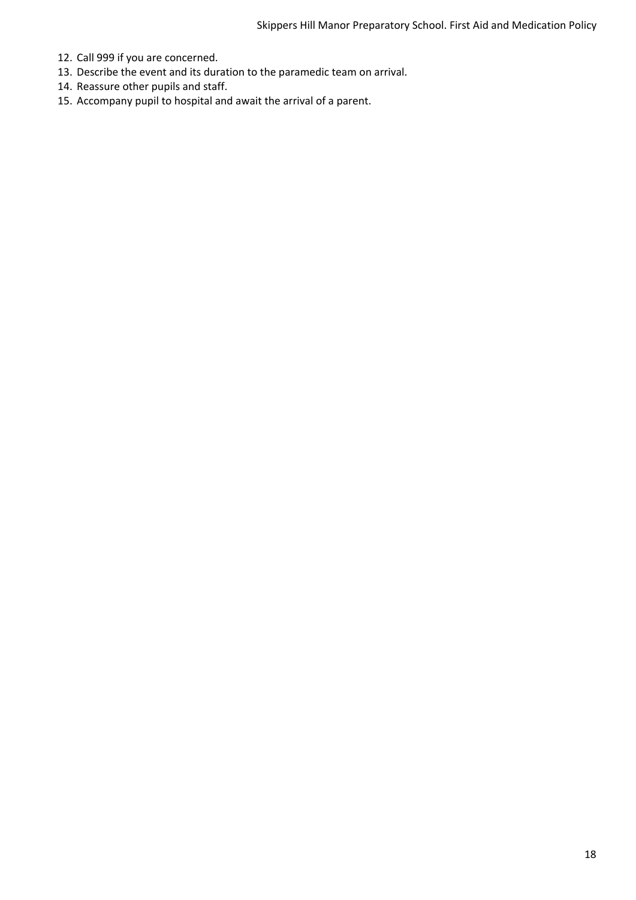- 12. Call 999 if you are concerned.
- 13. Describe the event and its duration to the paramedic team on arrival.
- 14. Reassure other pupils and staff.
- 15. Accompany pupil to hospital and await the arrival of a parent.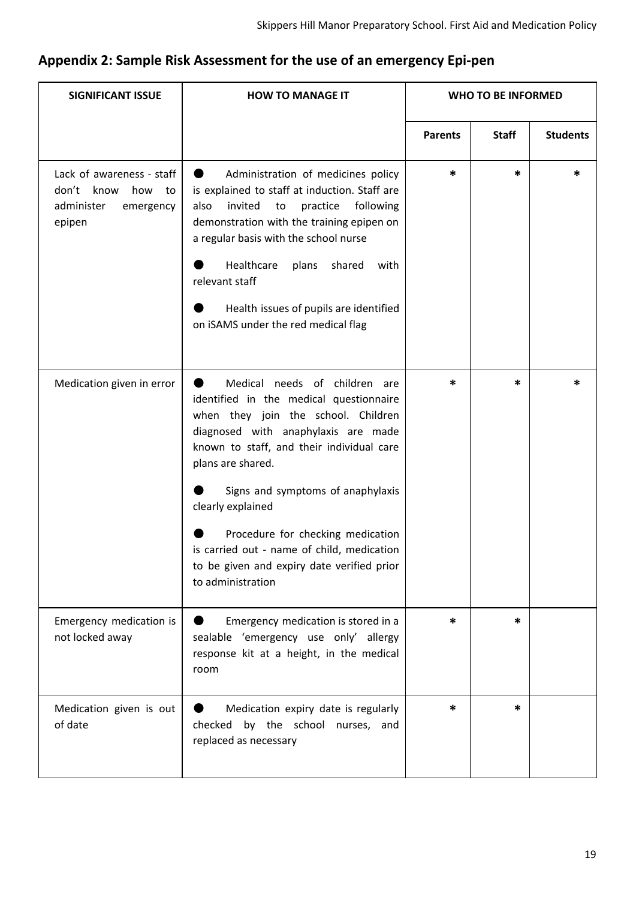# **Appendix 2: Sample Risk Assessment for the use of an emergency Epi-pen**

| <b>SIGNIFICANT ISSUE</b>                                                                     | <b>HOW TO MANAGE IT</b>                                                                                                                                                                                                                                                                                                                                                                                                                       |                | <b>WHO TO BE INFORMED</b> |                 |
|----------------------------------------------------------------------------------------------|-----------------------------------------------------------------------------------------------------------------------------------------------------------------------------------------------------------------------------------------------------------------------------------------------------------------------------------------------------------------------------------------------------------------------------------------------|----------------|---------------------------|-----------------|
|                                                                                              |                                                                                                                                                                                                                                                                                                                                                                                                                                               | <b>Parents</b> | <b>Staff</b>              | <b>Students</b> |
| Lack of awareness - staff<br>know<br>don't<br>how<br>to<br>administer<br>emergency<br>epipen | Administration of medicines policy<br>$\bullet$<br>is explained to staff at induction. Staff are<br>also<br>invited<br>practice<br>following<br>to<br>demonstration with the training epipen on<br>a regular basis with the school nurse<br>Healthcare<br>plans<br>shared<br>with<br>relevant staff<br>Health issues of pupils are identified<br>on iSAMS under the red medical flag                                                          | *              | *                         | $\ast$          |
| Medication given in error                                                                    | Medical needs of children are<br>D<br>identified in the medical questionnaire<br>when they join the school. Children<br>diagnosed with anaphylaxis are made<br>known to staff, and their individual care<br>plans are shared.<br>Signs and symptoms of anaphylaxis<br>clearly explained<br>Procedure for checking medication<br>is carried out - name of child, medication<br>to be given and expiry date verified prior<br>to administration | *              | *                         | *               |
| Emergency medication is<br>not locked away                                                   | Emergency medication is stored in a<br>sealable 'emergency use only' allergy<br>response kit at a height, in the medical<br>room                                                                                                                                                                                                                                                                                                              | *              | *                         |                 |
| Medication given is out<br>of date                                                           | Medication expiry date is regularly<br>checked by the school nurses, and<br>replaced as necessary                                                                                                                                                                                                                                                                                                                                             | *              | *                         |                 |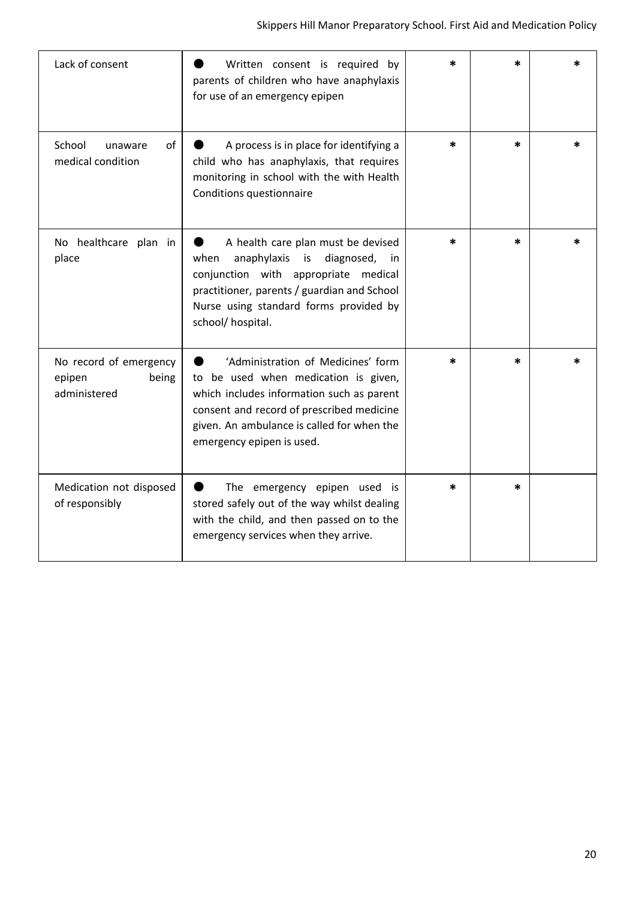| Lack of consent                                           | Written consent is required by<br>parents of children who have anaphylaxis<br>for use of an emergency epipen                                                                                                                                    | *      | *      |   |
|-----------------------------------------------------------|-------------------------------------------------------------------------------------------------------------------------------------------------------------------------------------------------------------------------------------------------|--------|--------|---|
| School<br>of<br>unaware<br>medical condition              | A process is in place for identifying a<br>child who has anaphylaxis, that requires<br>monitoring in school with the with Health<br>Conditions questionnaire                                                                                    | *      | *      | * |
| No healthcare plan in<br>place                            | A health care plan must be devised<br>when<br>anaphylaxis<br>diagnosed,<br>is<br><i>in</i><br>conjunction with appropriate medical<br>practitioner, parents / guardian and School<br>Nurse using standard forms provided by<br>school/hospital. | *      | *      |   |
| No record of emergency<br>epipen<br>being<br>administered | 'Administration of Medicines' form<br>to be used when medication is given,<br>which includes information such as parent<br>consent and record of prescribed medicine<br>given. An ambulance is called for when the<br>emergency epipen is used. | *      | $\ast$ | * |
| Medication not disposed<br>of responsibly                 | The emergency epipen used is<br>stored safely out of the way whilst dealing<br>with the child, and then passed on to the<br>emergency services when they arrive.                                                                                | $\ast$ | *      |   |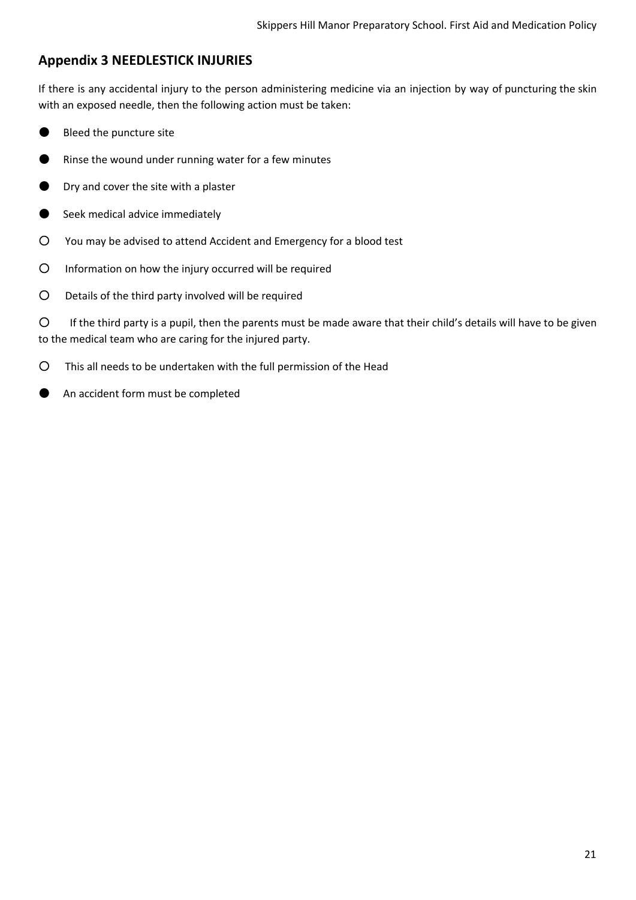## **Appendix 3 NEEDLESTICK INJURIES**

If there is any accidental injury to the person administering medicine via an injection by way of puncturing the skin with an exposed needle, then the following action must be taken:

- Bleed the puncture site
- Rinse the wound under running water for a few minutes
- Dry and cover the site with a plaster
- Seek medical advice immediately
- You may be advised to attend Accident and Emergency for a blood test
- Information on how the injury occurred will be required
- Details of the third party involved will be required

○ If the third party is a pupil, then the parents must be made aware that their child's details will have to be given to the medical team who are caring for the injured party.

○ This all needs to be undertaken with the full permission of the Head

An accident form must be completed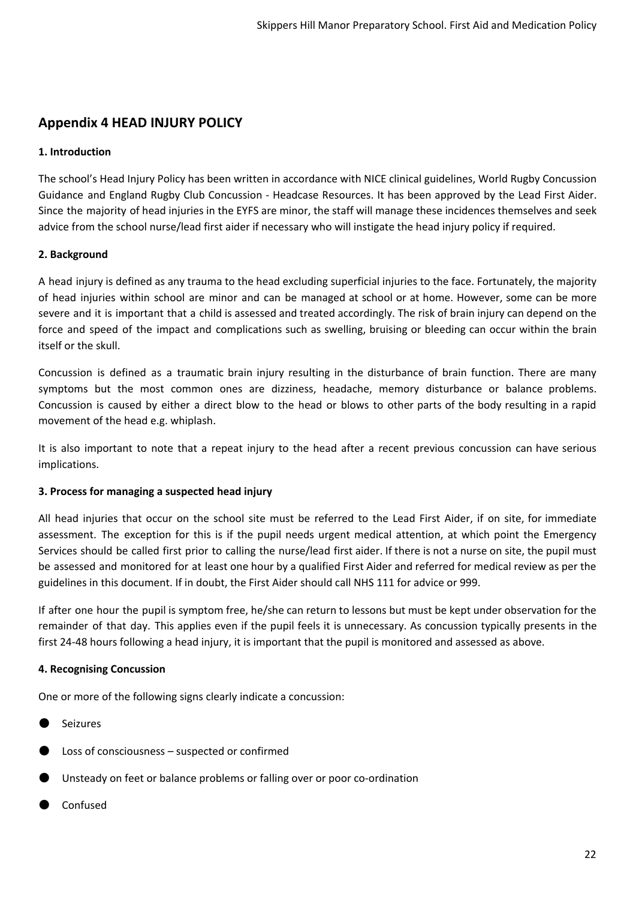## **Appendix 4 HEAD INJURY POLICY**

#### **1. Introduction**

The school's Head Injury Policy has been written in accordance with NICE clinical guidelines, World Rugby Concussion Guidance and England Rugby Club Concussion - Headcase Resources. It has been approved by the Lead First Aider. Since the majority of head injuries in the EYFS are minor, the staff will manage these incidences themselves and seek advice from the school nurse/lead first aider if necessary who will instigate the head injury policy if required.

#### **2. Background**

A head injury is defined as any trauma to the head excluding superficial injuries to the face. Fortunately, the majority of head injuries within school are minor and can be managed at school or at home. However, some can be more severe and it is important that a child is assessed and treated accordingly. The risk of brain injury can depend on the force and speed of the impact and complications such as swelling, bruising or bleeding can occur within the brain itself or the skull.

Concussion is defined as a traumatic brain injury resulting in the disturbance of brain function. There are many symptoms but the most common ones are dizziness, headache, memory disturbance or balance problems. Concussion is caused by either a direct blow to the head or blows to other parts of the body resulting in a rapid movement of the head e.g. whiplash.

It is also important to note that a repeat injury to the head after a recent previous concussion can have serious implications.

#### **3. Process for managing a suspected head injury**

All head injuries that occur on the school site must be referred to the Lead First Aider, if on site, for immediate assessment. The exception for this is if the pupil needs urgent medical attention, at which point the Emergency Services should be called first prior to calling the nurse/lead first aider. If there is not a nurse on site, the pupil must be assessed and monitored for at least one hour by a qualified First Aider and referred for medical review as per the guidelines in this document. If in doubt, the First Aider should call NHS 111 for advice or 999.

If after one hour the pupil is symptom free, he/she can return to lessons but must be kept under observation for the remainder of that day. This applies even if the pupil feels it is unnecessary. As concussion typically presents in the first 24-48 hours following a head injury, it is important that the pupil is monitored and assessed as above.

#### **4. Recognising Concussion**

One or more of the following signs clearly indicate a concussion:

- **Seizures**
- Loss of consciousness  $-$  suspected or confirmed
- Unsteady on feet or balance problems or falling over or poor co-ordination
- **Confused**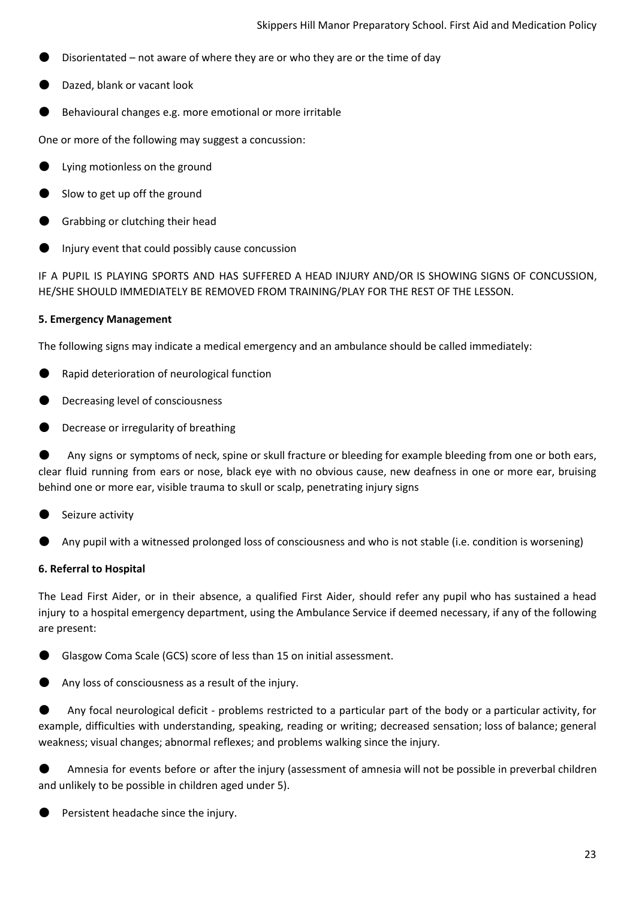- Disorientated not aware of where they are or who they are or the time of day
- Dazed, blank or vacant look
- Behavioural changes e.g. more emotional or more irritable

One or more of the following may suggest a concussion:

- Lying motionless on the ground
- Slow to get up off the ground
- Grabbing or clutching their head
- Injury event that could possibly cause concussion

IF A PUPIL IS PLAYING SPORTS AND HAS SUFFERED A HEAD INJURY AND/OR IS SHOWING SIGNS OF CONCUSSION, HE/SHE SHOULD IMMEDIATELY BE REMOVED FROM TRAINING/PLAY FOR THE REST OF THE LESSON.

#### **5. Emergency Management**

The following signs may indicate a medical emergency and an ambulance should be called immediately:

- Rapid deterioration of neurological function
- Decreasing level of consciousness
- Decrease or irregularity of breathing

Any signs or symptoms of neck, spine or skull fracture or bleeding for example bleeding from one or both ears, clear fluid running from ears or nose, black eye with no obvious cause, new deafness in one or more ear, bruising behind one or more ear, visible trauma to skull or scalp, penetrating injury signs

- Seizure activity
- Any pupil with a witnessed prolonged loss of consciousness and who is not stable (i.e. condition is worsening)

#### **6. Referral to Hospital**

The Lead First Aider, or in their absence, a qualified First Aider, should refer any pupil who has sustained a head injury to a hospital emergency department, using the Ambulance Service if deemed necessary, if any of the following are present:

Glasgow Coma Scale (GCS) score of less than 15 on initial assessment.

Any loss of consciousness as a result of the injury.

Any focal neurological deficit - problems restricted to a particular part of the body or a particular activity, for example, difficulties with understanding, speaking, reading or writing; decreased sensation; loss of balance; general weakness; visual changes; abnormal reflexes; and problems walking since the injury.

Amnesia for events before or after the injury (assessment of amnesia will not be possible in preverbal children and unlikely to be possible in children aged under 5).

Persistent headache since the injury.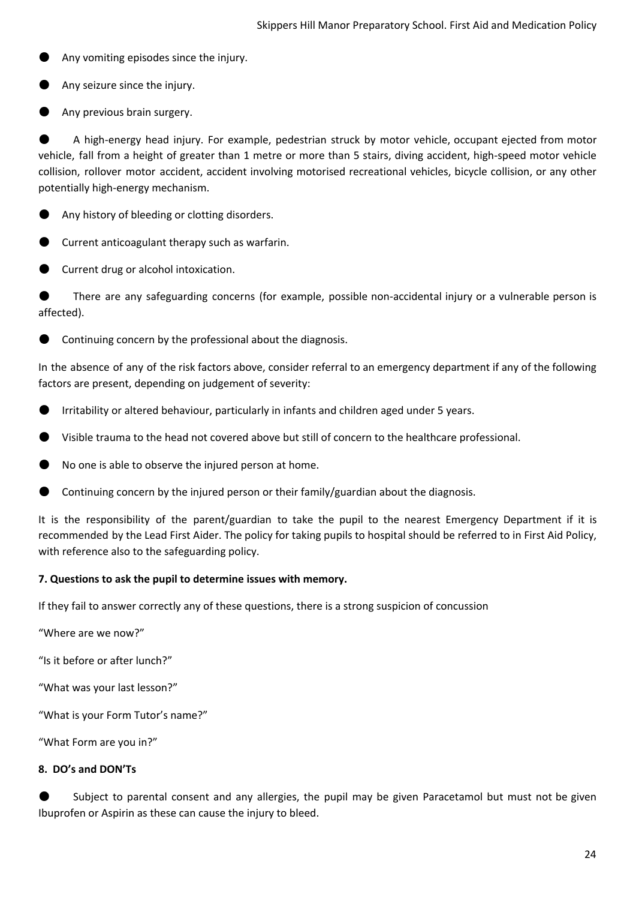- Any vomiting episodes since the injury.
- Any seizure since the injury.
- Any previous brain surgery.

A high-energy head injury. For example, pedestrian struck by motor vehicle, occupant ejected from motor vehicle, fall from a height of greater than 1 metre or more than 5 stairs, diving accident, high-speed motor vehicle collision, rollover motor accident, accident involving motorised recreational vehicles, bicycle collision, or any other potentially high-energy mechanism.

- Any history of bleeding or clotting disorders.
- Current anticoagulant therapy such as warfarin.
- Current drug or alcohol intoxication.

There are any safeguarding concerns (for example, possible non-accidental injury or a vulnerable person is affected).

Continuing concern by the professional about the diagnosis.

In the absence of any of the risk factors above, consider referral to an emergency department if any of the following factors are present, depending on judgement of severity:

- Irritability or altered behaviour, particularly in infants and children aged under 5 years.
- Visible trauma to the head not covered above but still of concern to the healthcare professional.
- No one is able to observe the injured person at home.
- Continuing concern by the injured person or their family/guardian about the diagnosis.

It is the responsibility of the parent/guardian to take the pupil to the nearest Emergency Department if it is recommended by the Lead First Aider. The policy for taking pupils to hospital should be referred to in First Aid Policy, with reference also to the safeguarding policy.

#### **7. Questions to ask the pupil to determine issues with memory.**

If they fail to answer correctly any of these questions, there is a strong suspicion of concussion

"Where are we now?"

"Is it before or after lunch?"

"What was your last lesson?"

"What is your Form Tutor's name?"

"What Form are you in?"

#### **8. DO's and DON'Ts**

Subject to parental consent and any allergies, the pupil may be given Paracetamol but must not be given Ibuprofen or Aspirin as these can cause the injury to bleed.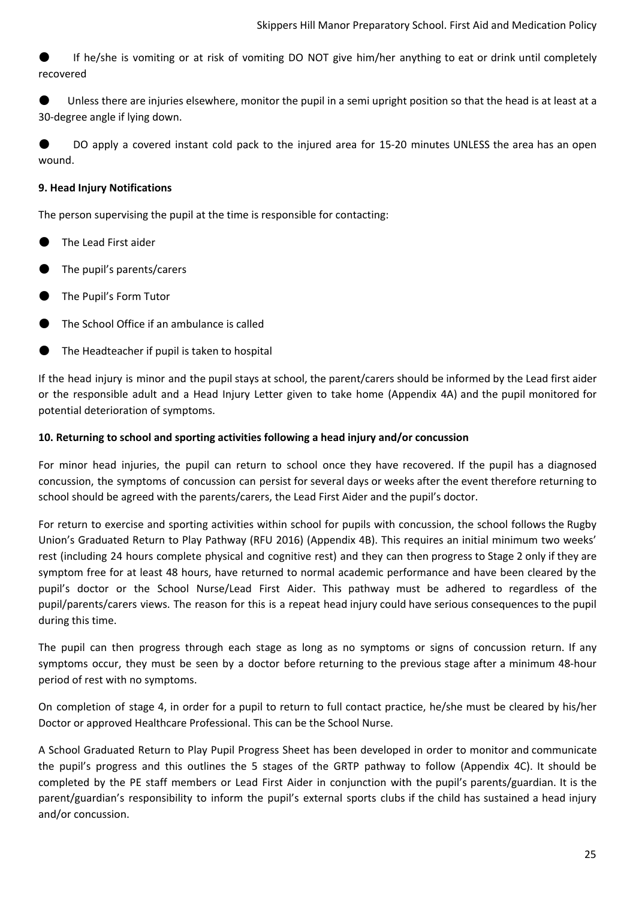If he/she is vomiting or at risk of vomiting DO NOT give him/her anything to eat or drink until completely recovered

Unless there are injuries elsewhere, monitor the pupil in a semi upright position so that the head is at least at a 30-degree angle if lying down.

DO apply a covered instant cold pack to the injured area for 15-20 minutes UNLESS the area has an open wound.

#### **9. Head Injury Notifications**

The person supervising the pupil at the time is responsible for contacting:

- The Lead First aider
- The pupil's parents/carers
- The Pupil's Form Tutor
- The School Office if an ambulance is called
- The Headteacher if pupil is taken to hospital

If the head injury is minor and the pupil stays at school, the parent/carers should be informed by the Lead first aider or the responsible adult and a Head Injury Letter given to take home (Appendix 4A) and the pupil monitored for potential deterioration of symptoms.

#### **10. Returning to school and sporting activities following a head injury and/or concussion**

For minor head injuries, the pupil can return to school once they have recovered. If the pupil has a diagnosed concussion, the symptoms of concussion can persist for several days or weeks after the event therefore returning to school should be agreed with the parents/carers, the Lead First Aider and the pupil's doctor.

For return to exercise and sporting activities within school for pupils with concussion, the school follows the Rugby Union's Graduated Return to Play Pathway (RFU 2016) (Appendix 4B). This requires an initial minimum two weeks' rest (including 24 hours complete physical and cognitive rest) and they can then progress to Stage 2 only if they are symptom free for at least 48 hours, have returned to normal academic performance and have been cleared by the pupil's doctor or the School Nurse/Lead First Aider. This pathway must be adhered to regardless of the pupil/parents/carers views. The reason for this is a repeat head injury could have serious consequences to the pupil during this time.

The pupil can then progress through each stage as long as no symptoms or signs of concussion return. If any symptoms occur, they must be seen by a doctor before returning to the previous stage after a minimum 48-hour period of rest with no symptoms.

On completion of stage 4, in order for a pupil to return to full contact practice, he/she must be cleared by his/her Doctor or approved Healthcare Professional. This can be the School Nurse.

A School Graduated Return to Play Pupil Progress Sheet has been developed in order to monitor and communicate the pupil's progress and this outlines the 5 stages of the GRTP pathway to follow (Appendix 4C). It should be completed by the PE staff members or Lead First Aider in conjunction with the pupil's parents/guardian. It is the parent/guardian's responsibility to inform the pupil's external sports clubs if the child has sustained a head injury and/or concussion.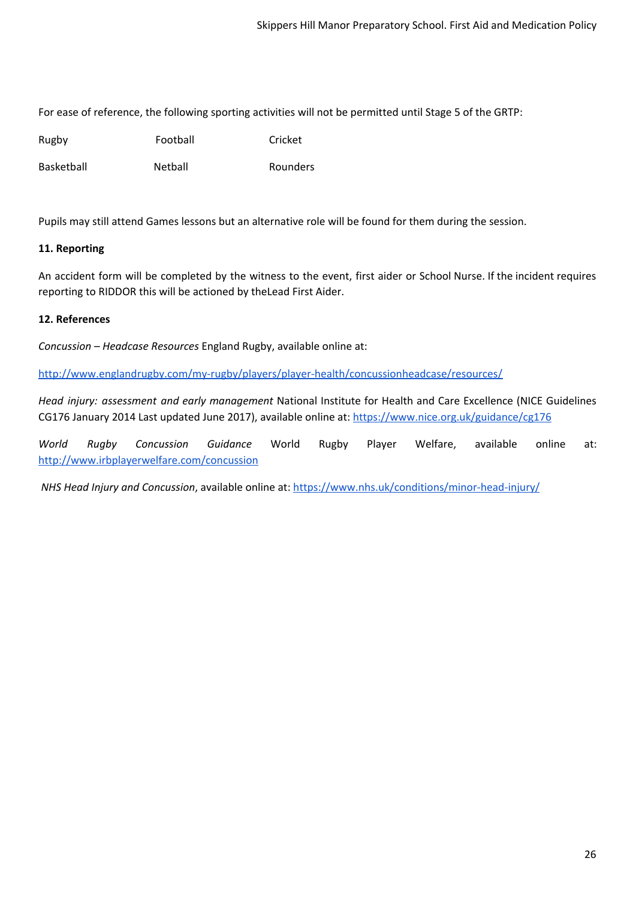For ease of reference, the following sporting activities will not be permitted until Stage 5 of the GRTP:

Rugby Football Cricket

Basketball **Netball** Netball Rounders

Pupils may still attend Games lessons but an alternative role will be found for them during the session.

#### **11. Reporting**

An accident form will be completed by the witness to the event, first aider or School Nurse. If the incident requires reporting to RIDDOR this will be actioned by theLead First Aider.

#### **12. References**

*Concussion – Headcase Resources* England Rugby, available online at:

<http://www.englandrugby.com/my-rugby/players/player-health/concussionheadcase/resources/>

*Head injury: assessment and early management* National Institute for Health and Care Excellence (NICE Guidelines CG176 January 2014 Last updated June 2017), available online at: <https://www.nice.org.uk/guidance/cg176>

*World Rugby Concussion Guidance* World Rugby Player Welfare, available online at: <http://www.irbplayerwelfare.com/concussion>

*NHS Head Injury and Concussion*, available online at[:](https://www.nhs.uk/conditions/minor-head-injury/) <https://www.nhs.uk/conditions/minor-head-injury/>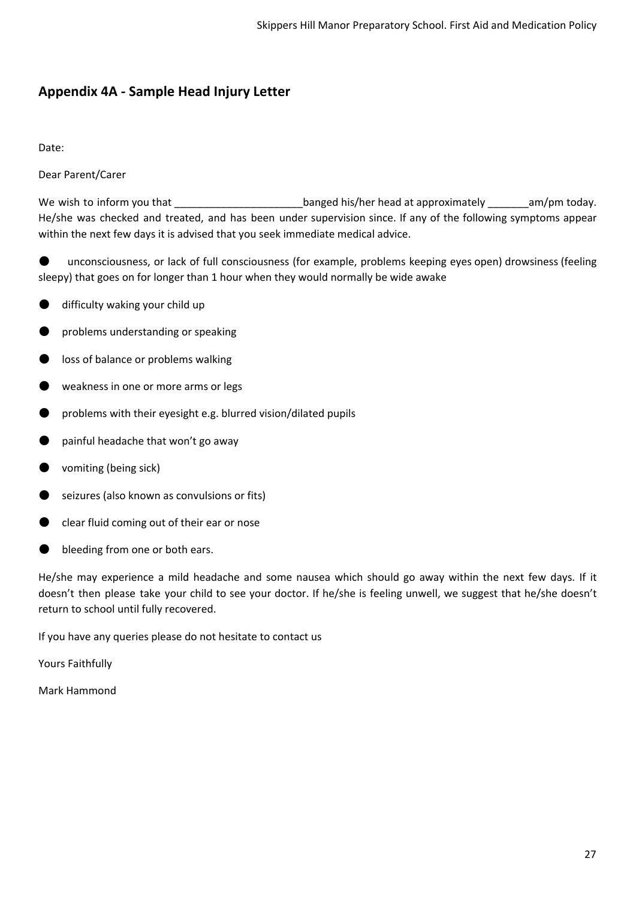# **Appendix 4A - Sample Head Injury Letter**

Date:

Dear Parent/Carer

We wish to inform you that **Example 20** banged his/her head at approximately am/pm today. He/she was checked and treated, and has been under supervision since. If any of the following symptoms appear within the next few days it is advised that you seek immediate medical advice.

unconsciousness, or lack of full consciousness (for example, problems keeping eyes open) drowsiness (feeling sleepy) that goes on for longer than 1 hour when they would normally be wide awake

- difficulty waking your child up
- problems understanding or speaking
- loss of balance or problems walking
- weakness in one or more arms or legs
- problems with their eyesight e.g. blurred vision/dilated pupils
- painful headache that won't go away
- vomiting (being sick)
- seizures (also known as convulsions or fits)
- clear fluid coming out of their ear or nose
- bleeding from one or both ears.

He/she may experience a mild headache and some nausea which should go away within the next few days. If it doesn't then please take your child to see your doctor. If he/she is feeling unwell, we suggest that he/she doesn't return to school until fully recovered.

If you have any queries please do not hesitate to contact us

Yours Faithfully

Mark Hammond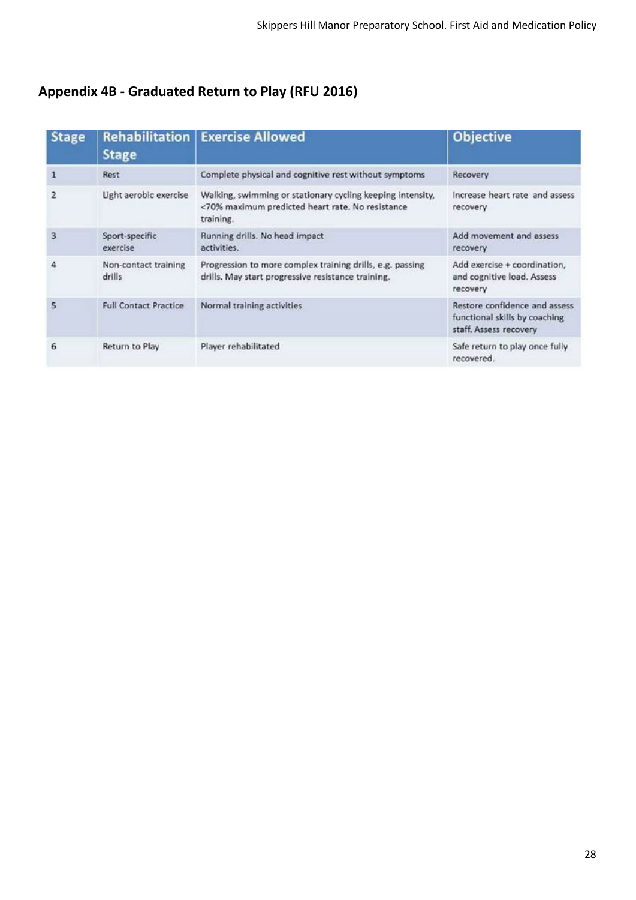# **Appendix 4B - Graduated Return to Play (RFU 2016)**

| <b>Stage</b>   | <b>Rehabilitation</b><br><b>Stage</b> | <b>Exercise Allowed</b>                                                                                                     | <b>Objective</b>                                                                         |
|----------------|---------------------------------------|-----------------------------------------------------------------------------------------------------------------------------|------------------------------------------------------------------------------------------|
|                | Rest                                  | Complete physical and cognitive rest without symptoms                                                                       | Recovery                                                                                 |
| $\overline{2}$ | Light aerobic exercise                | Walking, swimming or stationary cycling keeping intensity,<br><70% maximum predicted heart rate. No resistance<br>training. | Increase heart rate and assess<br>recovery                                               |
| 3              | Sport-specific<br>exercise            | Running drills. No head impact<br>activities.                                                                               | Add movement and assess<br>recovery                                                      |
| Δ              | Non-contact training<br>drills        | Progression to more complex training drills, e.g. passing<br>drills. May start progressive resistance training.             | Add exercise + coordination,<br>and cognitive load. Assess<br>recovery                   |
| 5              | <b>Full Contact Practice</b>          | Normal training activities                                                                                                  | Restore confidence and assess<br>functional skills by coaching<br>staff. Assess recovery |
| 6              | Return to Play                        | Player rehabilitated                                                                                                        | Safe return to play once fully<br>recovered.                                             |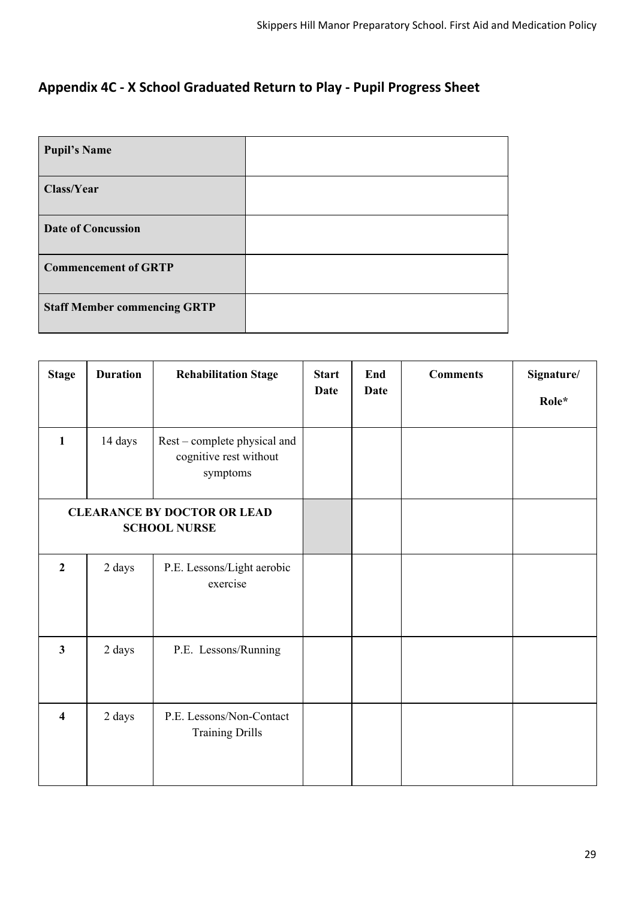# **Appendix 4C - X School Graduated Return to Play - Pupil Progress Sheet**

| <b>Pupil's Name</b>                 |  |
|-------------------------------------|--|
| Class/Year                          |  |
| <b>Date of Concussion</b>           |  |
| <b>Commencement of GRTP</b>         |  |
| <b>Staff Member commencing GRTP</b> |  |

| <b>Stage</b>                                              | <b>Duration</b> | <b>Rehabilitation Stage</b>                                        | <b>Start</b><br><b>Date</b> | End<br><b>Date</b> | <b>Comments</b> | Signature/<br>Role* |
|-----------------------------------------------------------|-----------------|--------------------------------------------------------------------|-----------------------------|--------------------|-----------------|---------------------|
| $\mathbf{1}$                                              | 14 days         | Rest – complete physical and<br>cognitive rest without<br>symptoms |                             |                    |                 |                     |
| <b>CLEARANCE BY DOCTOR OR LEAD</b><br><b>SCHOOL NURSE</b> |                 |                                                                    |                             |                    |                 |                     |
| $\overline{2}$                                            | 2 days          | P.E. Lessons/Light aerobic<br>exercise                             |                             |                    |                 |                     |
| $\overline{3}$                                            | 2 days          | P.E. Lessons/Running                                               |                             |                    |                 |                     |
| $\overline{\mathbf{4}}$                                   | 2 days          | P.E. Lessons/Non-Contact<br><b>Training Drills</b>                 |                             |                    |                 |                     |